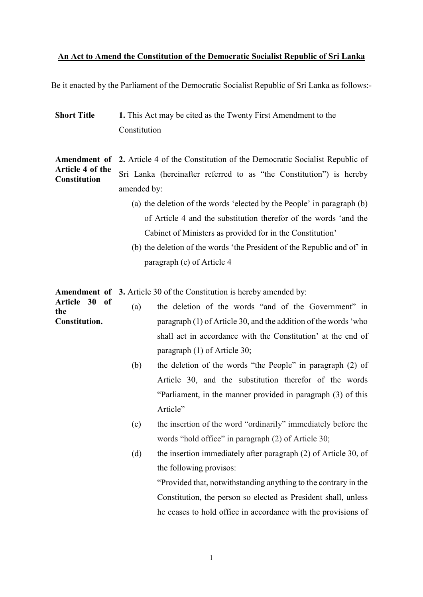#### An Act to Amend the Constitution of the Democratic Socialist Republic of Sri Lanka

Be it enacted by the Parliament of the Democratic Socialist Republic of Sri Lanka as follows:-

Short Title 1. This Act may be cited as the Twenty First Amendment to the **Constitution** 

Amendment of 2. Article 4 of the Constitution of the Democratic Socialist Republic of Article 4 of the **Constitution** Sri Lanka (hereinafter referred to as "the Constitution") is hereby amended by:

- (a) the deletion of the words 'elected by the People' in paragraph (b) of Article 4 and the substitution therefor of the words 'and the Cabinet of Ministers as provided for in the Constitution'
- (b) the deletion of the words 'the President of the Republic and of' in paragraph (e) of Article 4

Amendment of 3. Article 30 of the Constitution is hereby amended by:

- Article 30 of the Constitution. (a) the deletion of the words "and of the Government" in paragraph (1) of Article 30, and the addition of the words 'who shall act in accordance with the Constitution' at the end of paragraph (1) of Article 30;
	- (b) the deletion of the words "the People" in paragraph (2) of Article 30, and the substitution therefor of the words "Parliament, in the manner provided in paragraph (3) of this Article"
	- (c) the insertion of the word "ordinarily" immediately before the words "hold office" in paragraph (2) of Article 30;
	- (d) the insertion immediately after paragraph (2) of Article 30, of the following provisos:

"Provided that, notwithstanding anything to the contrary in the Constitution, the person so elected as President shall, unless he ceases to hold office in accordance with the provisions of

1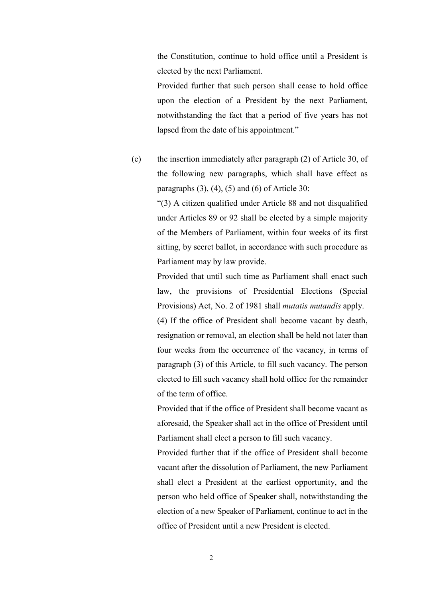the Constitution, continue to hold office until a President is elected by the next Parliament.

Provided further that such person shall cease to hold office upon the election of a President by the next Parliament, notwithstanding the fact that a period of five years has not lapsed from the date of his appointment."

(e) the insertion immediately after paragraph (2) of Article 30, of the following new paragraphs, which shall have effect as paragraphs  $(3)$ ,  $(4)$ ,  $(5)$  and  $(6)$  of Article 30:

> "(3) A citizen qualified under Article 88 and not disqualified under Articles 89 or 92 shall be elected by a simple majority of the Members of Parliament, within four weeks of its first sitting, by secret ballot, in accordance with such procedure as Parliament may by law provide.

> Provided that until such time as Parliament shall enact such law, the provisions of Presidential Elections (Special Provisions) Act, No. 2 of 1981 shall mutatis mutandis apply.

> (4) If the office of President shall become vacant by death, resignation or removal, an election shall be held not later than four weeks from the occurrence of the vacancy, in terms of paragraph (3) of this Article, to fill such vacancy. The person elected to fill such vacancy shall hold office for the remainder of the term of office.

> Provided that if the office of President shall become vacant as aforesaid, the Speaker shall act in the office of President until Parliament shall elect a person to fill such vacancy.

> Provided further that if the office of President shall become vacant after the dissolution of Parliament, the new Parliament shall elect a President at the earliest opportunity, and the person who held office of Speaker shall, notwithstanding the election of a new Speaker of Parliament, continue to act in the office of President until a new President is elected.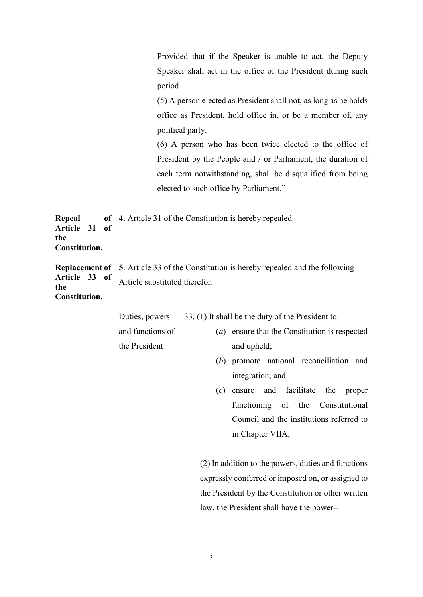Provided that if the Speaker is unable to act, the Deputy Speaker shall act in the office of the President during such period.

(5) A person elected as President shall not, as long as he holds office as President, hold office in, or be a member of, any political party.

(6) A person who has been twice elected to the office of President by the People and / or Parliament, the duration of each term notwithstanding, shall be disqualified from being elected to such office by Parliament."

**Repeal** Article 31 of the Constitution. 4. Article 31 of the Constitution is hereby repealed.

Replacement of 5. Article 33 of the Constitution is hereby repealed and the following Article 33 of the Constitution. Article substituted therefor:

> Duties, powers 33. (1) It shall be the duty of the President to:

and functions of the President

- (a) ensure that the Constitution is respected and upheld;
- (b) promote national reconciliation and integration; and
- (c) ensure and facilitate the proper functioning of the Constitutional Council and the institutions referred to in Chapter VIIA;

(2) In addition to the powers, duties and functions expressly conferred or imposed on, or assigned to the President by the Constitution or other written law, the President shall have the power–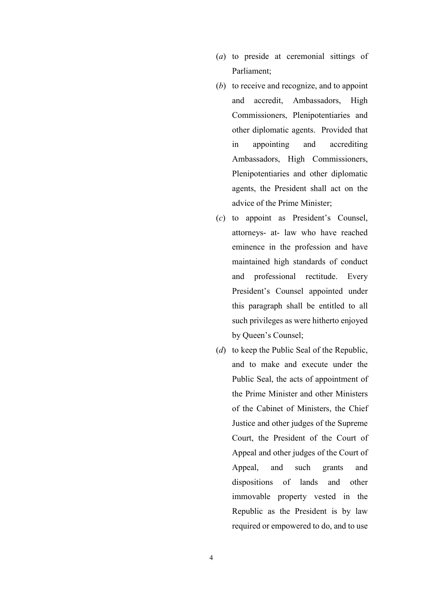- (a) to preside at ceremonial sittings of Parliament;
- (b) to receive and recognize, and to appoint and accredit, Ambassadors, High Commissioners, Plenipotentiaries and other diplomatic agents. Provided that in appointing and accrediting Ambassadors, High Commissioners, Plenipotentiaries and other diplomatic agents, the President shall act on the advice of the Prime Minister;
- (c) to appoint as President's Counsel, attorneys- at- law who have reached eminence in the profession and have maintained high standards of conduct and professional rectitude. Every President's Counsel appointed under this paragraph shall be entitled to all such privileges as were hitherto enjoyed by Queen's Counsel;
- (d) to keep the Public Seal of the Republic, and to make and execute under the Public Seal, the acts of appointment of the Prime Minister and other Ministers of the Cabinet of Ministers, the Chief Justice and other judges of the Supreme Court, the President of the Court of Appeal and other judges of the Court of Appeal, and such grants and dispositions of lands and other immovable property vested in the Republic as the President is by law required or empowered to do, and to use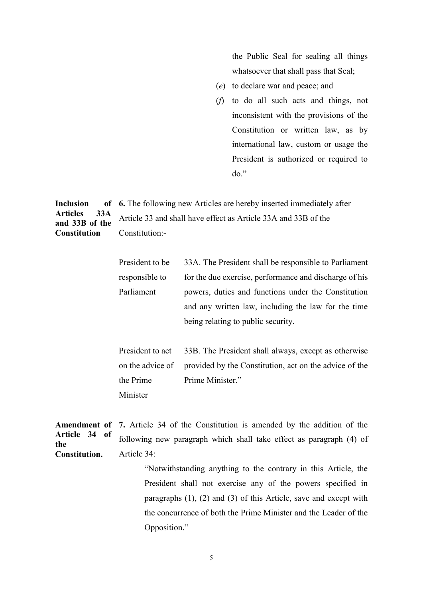the Public Seal for sealing all things whatsoever that shall pass that Seal;

- (e) to declare war and peace; and
- (f) to do all such acts and things, not inconsistent with the provisions of the Constitution or written law, as by international law, custom or usage the President is authorized or required to do."

**Inclusion** Articles 33A and 33B of the **Constitution** 6. The following new Articles are hereby inserted immediately after Article 33 and shall have effect as Article 33A and 33B of the Constitution:-

| President to be | 33A. The President shall be responsible to Parliament  |  |
|-----------------|--------------------------------------------------------|--|
| responsible to  | for the due exercise, performance and discharge of his |  |
| Parliament      | powers, duties and functions under the Constitution    |  |
|                 | and any written law, including the law for the time    |  |
|                 | being relating to public security.                     |  |

President to act on the advice of the Prime Minister 33B. The President shall always, except as otherwise provided by the Constitution, act on the advice of the Prime Minister."

Amendment of 7. Article 34 of the Constitution is amended by the addition of the Article 34 of the Constitution. following new paragraph which shall take effect as paragraph (4) of Article 34:

> "Notwithstanding anything to the contrary in this Article, the President shall not exercise any of the powers specified in paragraphs (1), (2) and (3) of this Article, save and except with the concurrence of both the Prime Minister and the Leader of the Opposition."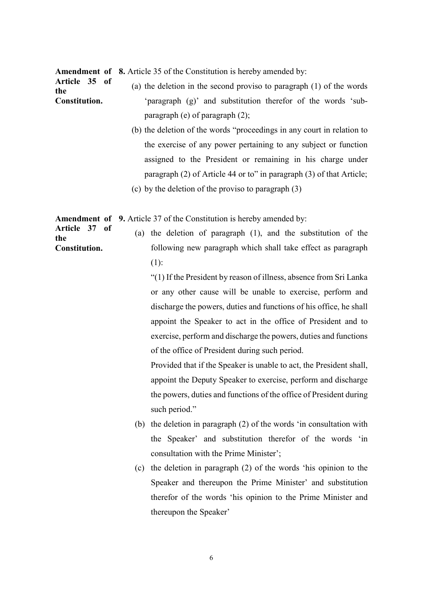Amendment of 8. Article 35 of the Constitution is hereby amended by:

Article 35 of the Constitution. (a) the deletion in the second proviso to paragraph (1) of the words 'paragraph (g)' and substitution therefor of the words 'subparagraph (e) of paragraph (2);

- (b) the deletion of the words "proceedings in any court in relation to the exercise of any power pertaining to any subject or function assigned to the President or remaining in his charge under paragraph (2) of Article 44 or to" in paragraph (3) of that Article;
- (c) by the deletion of the proviso to paragraph (3)

Amendment of 9. Article 37 of the Constitution is hereby amended by:

Article 37 of the Constitution. (a) the deletion of paragraph (1), and the substitution of the following new paragraph which shall take effect as paragraph (1):

> "(1) If the President by reason of illness, absence from Sri Lanka or any other cause will be unable to exercise, perform and discharge the powers, duties and functions of his office, he shall appoint the Speaker to act in the office of President and to exercise, perform and discharge the powers, duties and functions of the office of President during such period.

> Provided that if the Speaker is unable to act, the President shall, appoint the Deputy Speaker to exercise, perform and discharge the powers, duties and functions of the office of President during such period."

- (b) the deletion in paragraph (2) of the words 'in consultation with the Speaker' and substitution therefor of the words 'in consultation with the Prime Minister';
- (c) the deletion in paragraph (2) of the words 'his opinion to the Speaker and thereupon the Prime Minister' and substitution therefor of the words 'his opinion to the Prime Minister and thereupon the Speaker'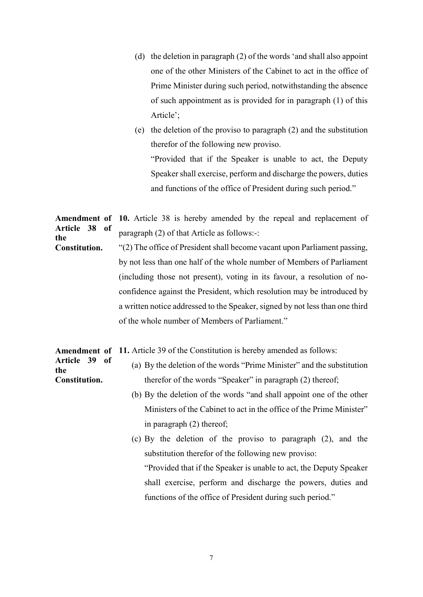- (d) the deletion in paragraph (2) of the words 'and shall also appoint one of the other Ministers of the Cabinet to act in the office of Prime Minister during such period, notwithstanding the absence of such appointment as is provided for in paragraph (1) of this Article';
- (e) the deletion of the proviso to paragraph (2) and the substitution therefor of the following new proviso. "Provided that if the Speaker is unable to act, the Deputy Speaker shall exercise, perform and discharge the powers, duties and functions of the office of President during such period."

Amendment of 10. Article 38 is hereby amended by the repeal and replacement of Article 38 of the paragraph (2) of that Article as follows:-:

Constitution. "(2) The office of President shall become vacant upon Parliament passing, by not less than one half of the whole number of Members of Parliament (including those not present), voting in its favour, a resolution of noconfidence against the President, which resolution may be introduced by a written notice addressed to the Speaker, signed by not less than one third of the whole number of Members of Parliament."

Amendment of 11. Article 39 of the Constitution is hereby amended as follows:

- Article 39 of the Constitution. (a) By the deletion of the words "Prime Minister" and the substitution therefor of the words "Speaker" in paragraph (2) thereof;
	- (b) By the deletion of the words "and shall appoint one of the other Ministers of the Cabinet to act in the office of the Prime Minister" in paragraph (2) thereof;
	- (c) By the deletion of the proviso to paragraph (2), and the substitution therefor of the following new proviso:

"Provided that if the Speaker is unable to act, the Deputy Speaker shall exercise, perform and discharge the powers, duties and functions of the office of President during such period."

7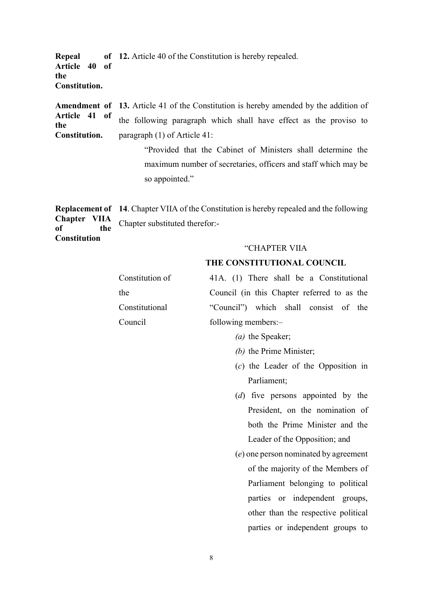**Repeal** Article 40 of the Constitution. of 12. Article 40 of the Constitution is hereby repealed.

Amendment of Article 41 of the Constitution. 13. Article 41 of the Constitution is hereby amended by the addition of the following paragraph which shall have effect as the proviso to paragraph (1) of Article 41:

> "Provided that the Cabinet of Ministers shall determine the maximum number of secretaries, officers and staff which may be so appointed."

Replacement of 14. Chapter VIIA of the Constitution is hereby repealed and the following Chapter VIIA of the Chapter substituted therefor:-

**Constitution** 

## "CHAPTER VIIA

## THE CONSTITUTIONAL COUNCIL

| Constitution of | 41A. (1) There shall be a Constitutional    |
|-----------------|---------------------------------------------|
| the             | Council (in this Chapter referred to as the |
| Constitutional  | "Council") which shall consist of the       |
| Council         | following members:-                         |

- (a) the Speaker;
- (b) the Prime Minister;
- (c) the Leader of the Opposition in Parliament;
- (d) five persons appointed by the President, on the nomination of both the Prime Minister and the Leader of the Opposition; and
- (e) one person nominated by agreement of the majority of the Members of Parliament belonging to political parties or independent groups, other than the respective political parties or independent groups to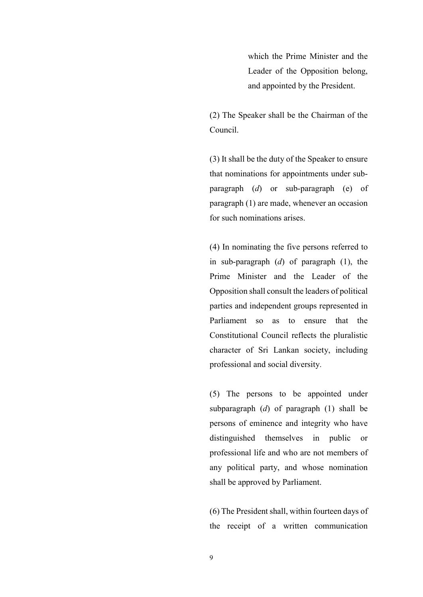which the Prime Minister and the Leader of the Opposition belong, and appointed by the President.

(2) The Speaker shall be the Chairman of the Council.

(3) It shall be the duty of the Speaker to ensure that nominations for appointments under subparagraph (d) or sub-paragraph (e) of paragraph (1) are made, whenever an occasion for such nominations arises.

(4) In nominating the five persons referred to in sub-paragraph  $(d)$  of paragraph  $(1)$ , the Prime Minister and the Leader of the Opposition shall consult the leaders of political parties and independent groups represented in Parliament so as to ensure that the Constitutional Council reflects the pluralistic character of Sri Lankan society, including professional and social diversity.

(5) The persons to be appointed under subparagraph  $(d)$  of paragraph  $(1)$  shall be persons of eminence and integrity who have distinguished themselves in public or professional life and who are not members of any political party, and whose nomination shall be approved by Parliament.

(6) The President shall, within fourteen days of the receipt of a written communication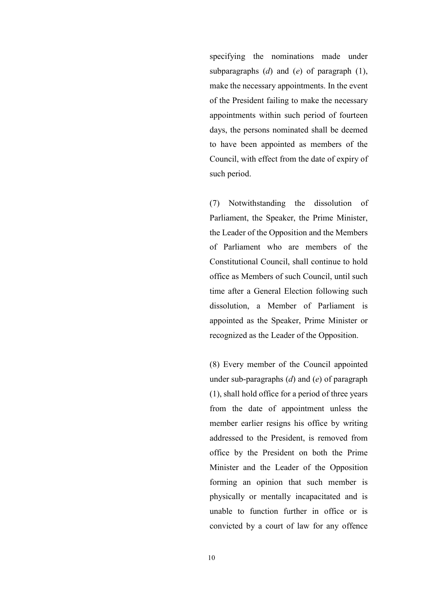specifying the nominations made under subparagraphs  $(d)$  and  $(e)$  of paragraph  $(1)$ , make the necessary appointments. In the event of the President failing to make the necessary appointments within such period of fourteen days, the persons nominated shall be deemed to have been appointed as members of the Council, with effect from the date of expiry of such period.

(7) Notwithstanding the dissolution of Parliament, the Speaker, the Prime Minister, the Leader of the Opposition and the Members of Parliament who are members of the Constitutional Council, shall continue to hold office as Members of such Council, until such time after a General Election following such dissolution, a Member of Parliament is appointed as the Speaker, Prime Minister or recognized as the Leader of the Opposition.

(8) Every member of the Council appointed under sub-paragraphs  $(d)$  and  $(e)$  of paragraph (1), shall hold office for a period of three years from the date of appointment unless the member earlier resigns his office by writing addressed to the President, is removed from office by the President on both the Prime Minister and the Leader of the Opposition forming an opinion that such member is physically or mentally incapacitated and is unable to function further in office or is convicted by a court of law for any offence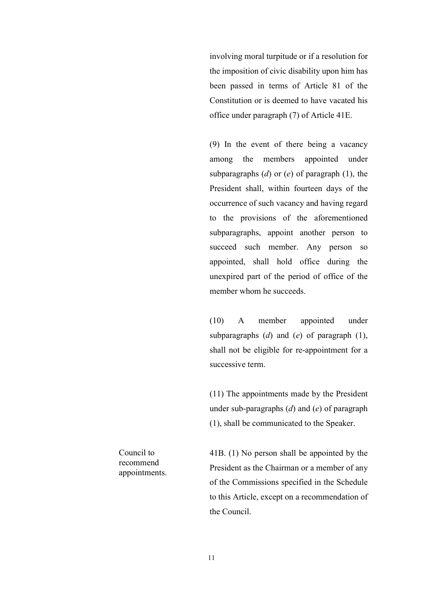involving moral turpitude or if a resolution for the imposition of civic disability upon him has been passed in terms of Article 81 of the Constitution or is deemed to have vacated his office under paragraph (7) of Article 41E.

(9) In the event of there being a vacancy among the members appointed under subparagraphs  $(d)$  or  $(e)$  of paragraph  $(1)$ , the President shall, within fourteen days of the occurrence of such vacancy and having regard to the provisions of the aforementioned subparagraphs, appoint another person to succeed such member. Any person so appointed, shall hold office during the unexpired part of the period of office of the member whom he succeeds.

(10) A member appointed under subparagraphs  $(d)$  and  $(e)$  of paragraph  $(1)$ , shall not be eligible for re-appointment for a successive term.

(11) The appointments made by the President under sub-paragraphs  $(d)$  and  $(e)$  of paragraph (1), shall be communicated to the Speaker.

Council to recommend appointments. 41B. (1) No person shall be appointed by the President as the Chairman or a member of any of the Commissions specified in the Schedule to this Article, except on a recommendation of the Council.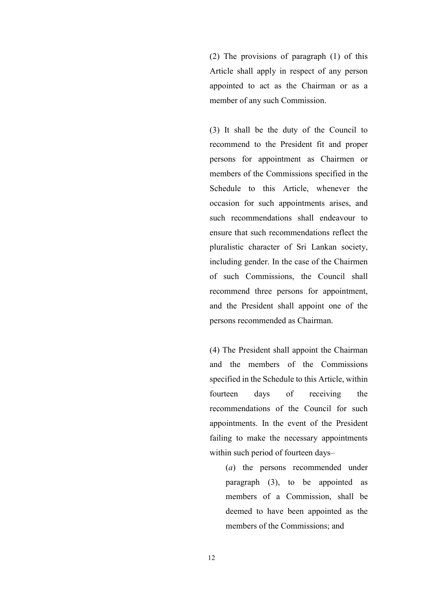(2) The provisions of paragraph (1) of this Article shall apply in respect of any person appointed to act as the Chairman or as a member of any such Commission.

(3) It shall be the duty of the Council to recommend to the President fit and proper persons for appointment as Chairmen or members of the Commissions specified in the Schedule to this Article, whenever the occasion for such appointments arises, and such recommendations shall endeavour to ensure that such recommendations reflect the pluralistic character of Sri Lankan society, including gender. In the case of the Chairmen of such Commissions, the Council shall recommend three persons for appointment, and the President shall appoint one of the persons recommended as Chairman.

(4) The President shall appoint the Chairman and the members of the Commissions specified in the Schedule to this Article, within fourteen days of receiving the recommendations of the Council for such appointments. In the event of the President failing to make the necessary appointments within such period of fourteen days–

> (a) the persons recommended under paragraph (3), to be appointed as members of a Commission, shall be deemed to have been appointed as the members of the Commissions; and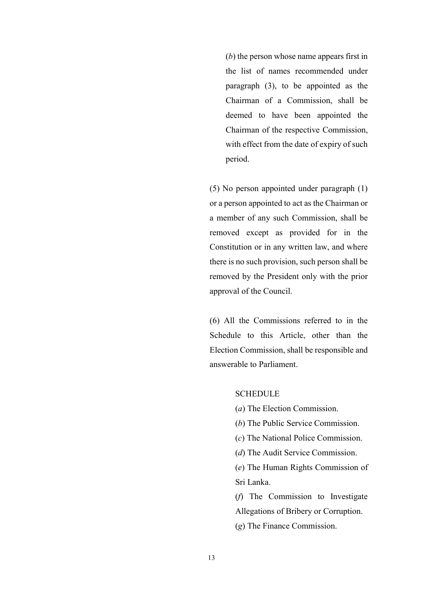(b) the person whose name appears first in the list of names recommended under paragraph (3), to be appointed as the Chairman of a Commission, shall be deemed to have been appointed the Chairman of the respective Commission, with effect from the date of expiry of such period.

(5) No person appointed under paragraph (1) or a person appointed to act as the Chairman or a member of any such Commission, shall be removed except as provided for in the Constitution or in any written law, and where there is no such provision, such person shall be removed by the President only with the prior approval of the Council.

(6) All the Commissions referred to in the Schedule to this Article, other than the Election Commission, shall be responsible and answerable to Parliament.

#### **SCHEDULE**

- (a) The Election Commission.
- (b) The Public Service Commission.
- (c) The National Police Commission.
- (d) The Audit Service Commission.

(e) The Human Rights Commission of Sri Lanka.

(f) The Commission to Investigate Allegations of Bribery or Corruption.

(g) The Finance Commission.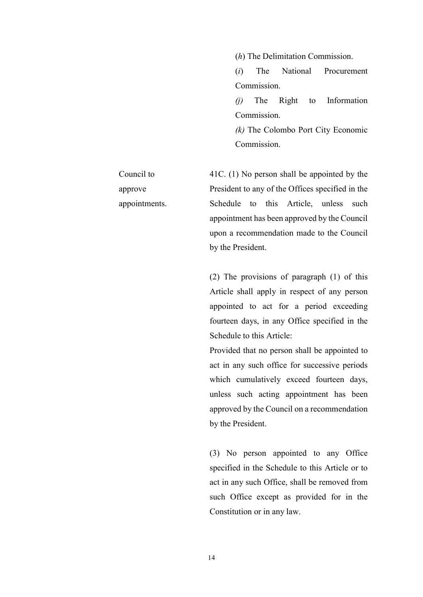(h) The Delimitation Commission.

(i) The National Procurement Commission.

(j) The Right to Information Commission.

(k) The Colombo Port City Economic Commission.

Council to approve appointments. 41C. (1) No person shall be appointed by the President to any of the Offices specified in the Schedule to this Article, unless such appointment has been approved by the Council

by the President.

(2) The provisions of paragraph (1) of this Article shall apply in respect of any person appointed to act for a period exceeding fourteen days, in any Office specified in the Schedule to this Article:

upon a recommendation made to the Council

Provided that no person shall be appointed to act in any such office for successive periods which cumulatively exceed fourteen days, unless such acting appointment has been approved by the Council on a recommendation by the President.

(3) No person appointed to any Office specified in the Schedule to this Article or to act in any such Office, shall be removed from such Office except as provided for in the Constitution or in any law.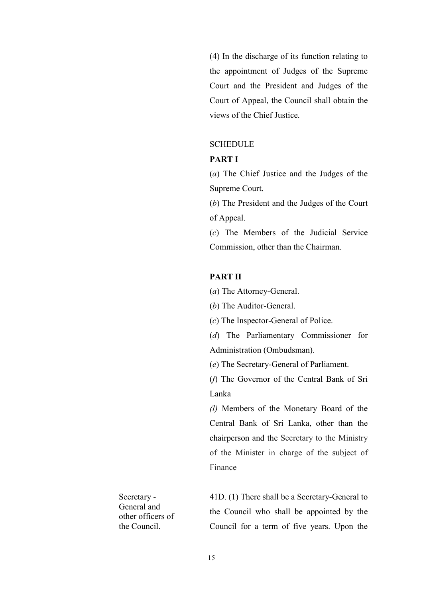(4) In the discharge of its function relating to the appointment of Judges of the Supreme Court and the President and Judges of the Court of Appeal, the Council shall obtain the views of the Chief Justice.

## **SCHEDULE**

### PART I

(a) The Chief Justice and the Judges of the Supreme Court.

(b) The President and the Judges of the Court of Appeal.

(c) The Members of the Judicial Service Commission, other than the Chairman.

## PART II

(a) The Attorney-General.

(b) The Auditor-General.

(c) The Inspector-General of Police.

(d) The Parliamentary Commissioner for Administration (Ombudsman).

(e) The Secretary-General of Parliament.

(f) The Governor of the Central Bank of Sri Lanka

(l) Members of the Monetary Board of the Central Bank of Sri Lanka, other than the chairperson and the Secretary to the Ministry of the Minister in charge of the subject of Finance

Secretary - General and other officers of the Council.

41D. (1) There shall be a Secretary-General to the Council who shall be appointed by the Council for a term of five years. Upon the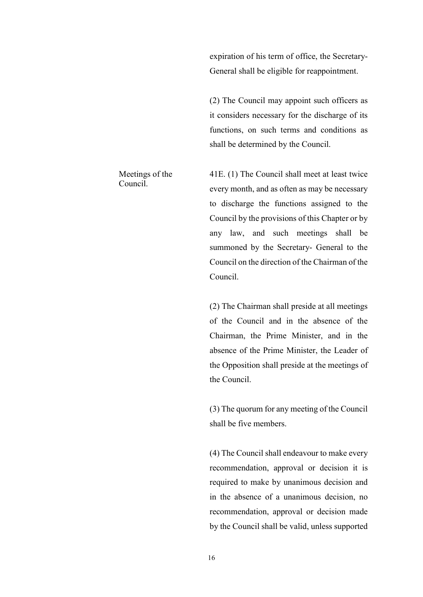expiration of his term of office, the Secretary-General shall be eligible for reappointment.

(2) The Council may appoint such officers as it considers necessary for the discharge of its functions, on such terms and conditions as shall be determined by the Council.

41E. (1) The Council shall meet at least twice every month, and as often as may be necessary to discharge the functions assigned to the Council by the provisions of this Chapter or by any law, and such meetings shall be summoned by the Secretary- General to the Council on the direction of the Chairman of the Council.

(2) The Chairman shall preside at all meetings of the Council and in the absence of the Chairman, the Prime Minister, and in the absence of the Prime Minister, the Leader of the Opposition shall preside at the meetings of the Council.

(3) The quorum for any meeting of the Council shall be five members.

(4) The Council shall endeavour to make every recommendation, approval or decision it is required to make by unanimous decision and in the absence of a unanimous decision, no recommendation, approval or decision made by the Council shall be valid, unless supported

Meetings of the

Council.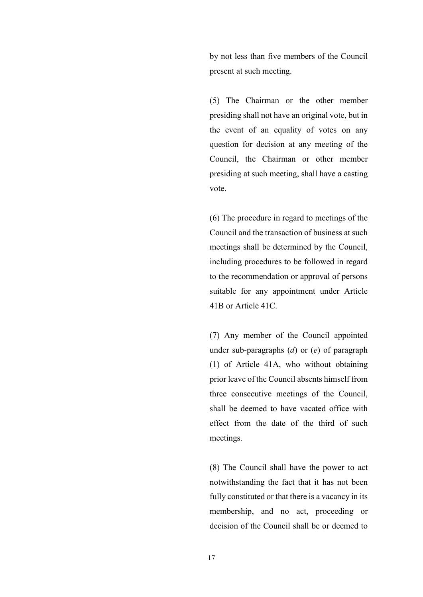by not less than five members of the Council present at such meeting.

(5) The Chairman or the other member presiding shall not have an original vote, but in the event of an equality of votes on any question for decision at any meeting of the Council, the Chairman or other member presiding at such meeting, shall have a casting vote.

(6) The procedure in regard to meetings of the Council and the transaction of business at such meetings shall be determined by the Council, including procedures to be followed in regard to the recommendation or approval of persons suitable for any appointment under Article 41B or Article 41C.

(7) Any member of the Council appointed under sub-paragraphs  $(d)$  or  $(e)$  of paragraph (1) of Article 41A, who without obtaining prior leave of the Council absents himself from three consecutive meetings of the Council, shall be deemed to have vacated office with effect from the date of the third of such meetings.

(8) The Council shall have the power to act notwithstanding the fact that it has not been fully constituted or that there is a vacancy in its membership, and no act, proceeding or decision of the Council shall be or deemed to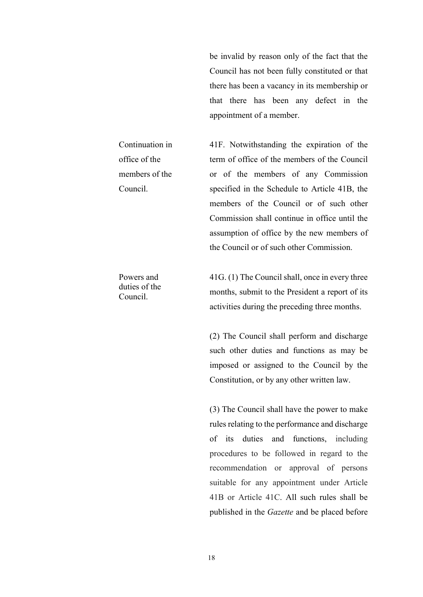be invalid by reason only of the fact that the Council has not been fully constituted or that there has been a vacancy in its membership or that there has been any defect in the appointment of a member.

41F. Notwithstanding the expiration of the term of office of the members of the Council or of the members of any Commission specified in the Schedule to Article 41B, the members of the Council or of such other Commission shall continue in office until the assumption of office by the new members of the Council or of such other Commission.

Powers and duties of the Council.

Continuation in

members of the

office of the

Council.

41G. (1) The Council shall, once in every three months, submit to the President a report of its activities during the preceding three months.

(2) The Council shall perform and discharge such other duties and functions as may be imposed or assigned to the Council by the Constitution, or by any other written law.

(3) The Council shall have the power to make rules relating to the performance and discharge of its duties and functions, including procedures to be followed in regard to the recommendation or approval of persons suitable for any appointment under Article 41B or Article 41C. All such rules shall be published in the Gazette and be placed before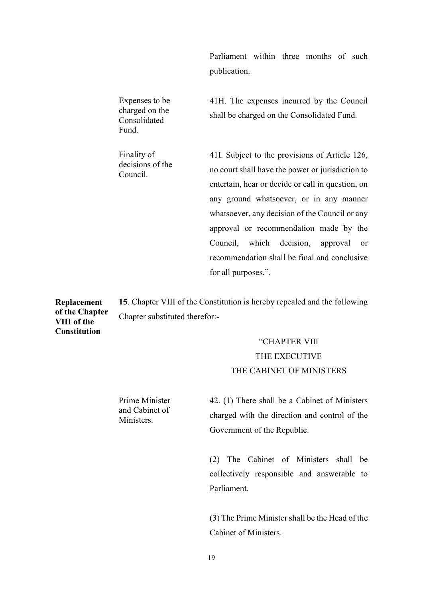Parliament within three months of such publication.

Expenses to be charged on the Consolidated Fund.

Finality of decisions of the Council.

41H. The expenses incurred by the Council shall be charged on the Consolidated Fund.

41I. Subject to the provisions of Article 126, no court shall have the power or jurisdiction to entertain, hear or decide or call in question, on any ground whatsoever, or in any manner whatsoever, any decision of the Council or any approval or recommendation made by the Council, which decision, approval or recommendation shall be final and conclusive for all purposes.".

Replacement of the Chapter 15. Chapter VIII of the Constitution is hereby repealed and the following Chapter substituted therefor:-

> "CHAPTER VIII THE EXECUTIVE THE CABINET OF MINISTERS

42. (1) There shall be a Cabinet of Ministers charged with the direction and control of the Government of the Republic.

(2) The Cabinet of Ministers shall be collectively responsible and answerable to Parliament.

(3) The Prime Minister shall be the Head of the Cabinet of Ministers.

Prime Minister and Cabinet of Ministers.

VIII of the **Constitution**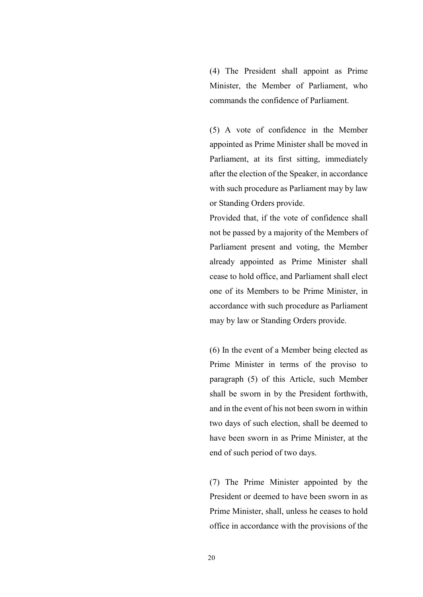(4) The President shall appoint as Prime Minister, the Member of Parliament, who commands the confidence of Parliament.

(5) A vote of confidence in the Member appointed as Prime Minister shall be moved in Parliament, at its first sitting, immediately after the election of the Speaker, in accordance with such procedure as Parliament may by law or Standing Orders provide.

Provided that, if the vote of confidence shall not be passed by a majority of the Members of Parliament present and voting, the Member already appointed as Prime Minister shall cease to hold office, and Parliament shall elect one of its Members to be Prime Minister, in accordance with such procedure as Parliament may by law or Standing Orders provide.

(6) In the event of a Member being elected as Prime Minister in terms of the proviso to paragraph (5) of this Article, such Member shall be sworn in by the President forthwith, and in the event of his not been sworn in within two days of such election, shall be deemed to have been sworn in as Prime Minister, at the end of such period of two days.

(7) The Prime Minister appointed by the President or deemed to have been sworn in as Prime Minister, shall, unless he ceases to hold office in accordance with the provisions of the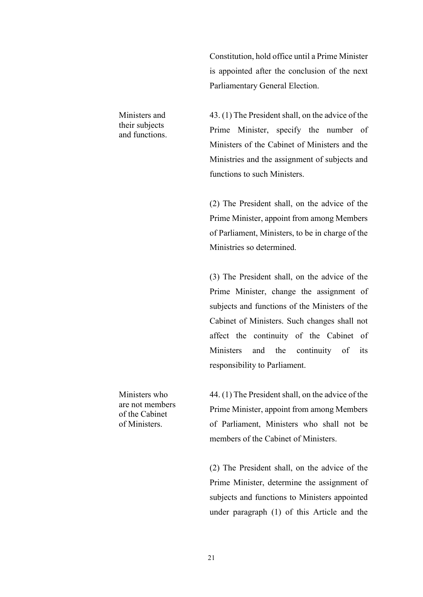Constitution, hold office until a Prime Minister is appointed after the conclusion of the next Parliamentary General Election.

43. (1) The President shall, on the advice of the Prime Minister, specify the number of Ministers of the Cabinet of Ministers and the Ministries and the assignment of subjects and functions to such Ministers.

(2) The President shall, on the advice of the Prime Minister, appoint from among Members of Parliament, Ministers, to be in charge of the Ministries so determined.

(3) The President shall, on the advice of the Prime Minister, change the assignment of subjects and functions of the Ministers of the Cabinet of Ministers. Such changes shall not affect the continuity of the Cabinet of Ministers and the continuity of its responsibility to Parliament.

Ministers who are not members of the Cabinet of Ministers.

Ministers and their subjects and functions.

> 44. (1) The President shall, on the advice of the Prime Minister, appoint from among Members of Parliament, Ministers who shall not be members of the Cabinet of Ministers.

> (2) The President shall, on the advice of the Prime Minister, determine the assignment of subjects and functions to Ministers appointed under paragraph (1) of this Article and the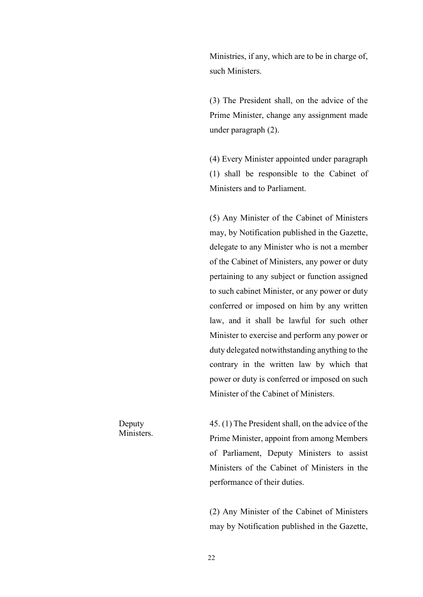Ministries, if any, which are to be in charge of, such Ministers.

(3) The President shall, on the advice of the Prime Minister, change any assignment made under paragraph (2).

(4) Every Minister appointed under paragraph (1) shall be responsible to the Cabinet of Ministers and to Parliament.

(5) Any Minister of the Cabinet of Ministers may, by Notification published in the Gazette, delegate to any Minister who is not a member of the Cabinet of Ministers, any power or duty pertaining to any subject or function assigned to such cabinet Minister, or any power or duty conferred or imposed on him by any written law, and it shall be lawful for such other Minister to exercise and perform any power or duty delegated notwithstanding anything to the contrary in the written law by which that power or duty is conferred or imposed on such Minister of the Cabinet of Ministers.

Deputy **Ministers**  45. (1) The President shall, on the advice of the Prime Minister, appoint from among Members of Parliament, Deputy Ministers to assist Ministers of the Cabinet of Ministers in the performance of their duties.

(2) Any Minister of the Cabinet of Ministers may by Notification published in the Gazette,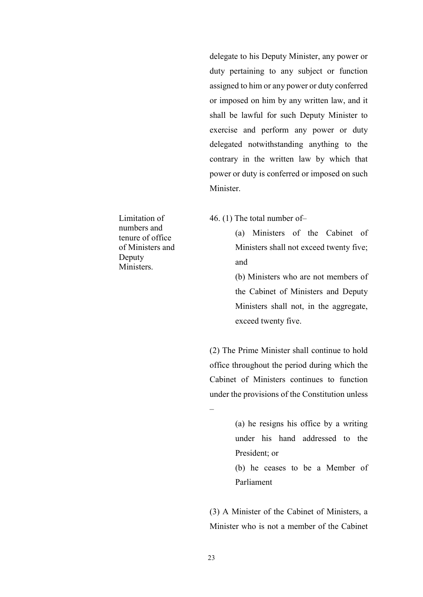delegate to his Deputy Minister, any power or duty pertaining to any subject or function assigned to him or any power or duty conferred or imposed on him by any written law, and it shall be lawful for such Deputy Minister to exercise and perform any power or duty delegated notwithstanding anything to the contrary in the written law by which that power or duty is conferred or imposed on such Minister.

Limitation of numbers and tenure of office of Ministers and Deputy Ministers.

46. (1) The total number of–

(a) Ministers of the Cabinet of Ministers shall not exceed twenty five; and

(b) Ministers who are not members of the Cabinet of Ministers and Deputy Ministers shall not, in the aggregate, exceed twenty five.

(2) The Prime Minister shall continue to hold office throughout the period during which the Cabinet of Ministers continues to function under the provisions of the Constitution unless

> (a) he resigns his office by a writing under his hand addressed to the President; or

> (b) he ceases to be a Member of Parliament

(3) A Minister of the Cabinet of Ministers, a Minister who is not a member of the Cabinet

23

–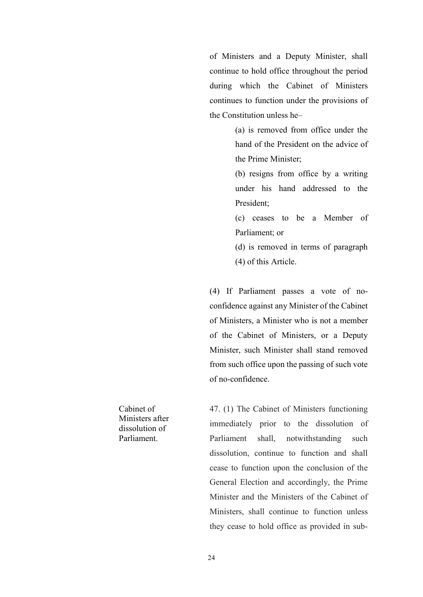of Ministers and a Deputy Minister, shall continue to hold office throughout the period during which the Cabinet of Ministers continues to function under the provisions of the Constitution unless he–

> (a) is removed from office under the hand of the President on the advice of the Prime Minister;

> (b) resigns from office by a writing under his hand addressed to the President;

> (c) ceases to be a Member of Parliament; or

> (d) is removed in terms of paragraph (4) of this Article.

(4) If Parliament passes a vote of noconfidence against any Minister of the Cabinet of Ministers, a Minister who is not a member of the Cabinet of Ministers, or a Deputy Minister, such Minister shall stand removed from such office upon the passing of such vote of no-confidence.

47. (1) The Cabinet of Ministers functioning immediately prior to the dissolution of Parliament shall, notwithstanding such dissolution, continue to function and shall cease to function upon the conclusion of the General Election and accordingly, the Prime Minister and the Ministers of the Cabinet of Ministers, shall continue to function unless they cease to hold office as provided in sub-

Cabinet of Ministers after dissolution of Parliament.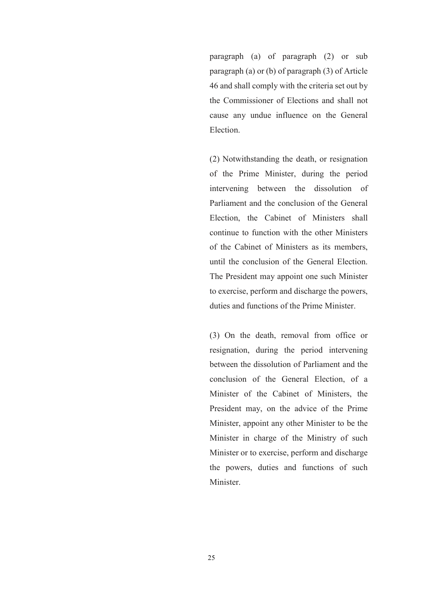paragraph (a) of paragraph (2) or sub paragraph (a) or (b) of paragraph (3) of Article 46 and shall comply with the criteria set out by the Commissioner of Elections and shall not cause any undue influence on the General Election.

(2) Notwithstanding the death, or resignation of the Prime Minister, during the period intervening between the dissolution of Parliament and the conclusion of the General Election, the Cabinet of Ministers shall continue to function with the other Ministers of the Cabinet of Ministers as its members, until the conclusion of the General Election. The President may appoint one such Minister to exercise, perform and discharge the powers, duties and functions of the Prime Minister.

(3) On the death, removal from office or resignation, during the period intervening between the dissolution of Parliament and the conclusion of the General Election, of a Minister of the Cabinet of Ministers, the President may, on the advice of the Prime Minister, appoint any other Minister to be the Minister in charge of the Ministry of such Minister or to exercise, perform and discharge the powers, duties and functions of such Minister.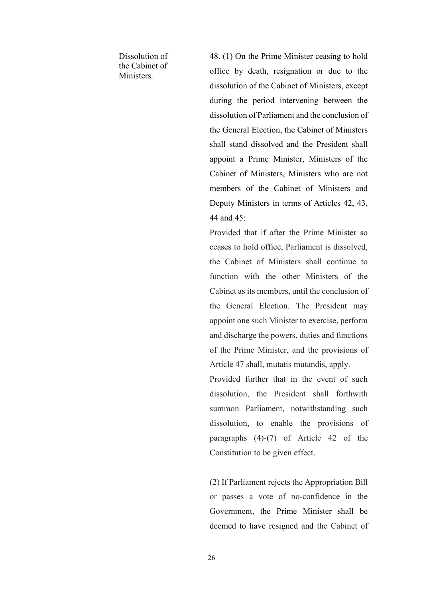Dissolution of the Cabinet of Ministers.

48. (1) On the Prime Minister ceasing to hold office by death, resignation or due to the dissolution of the Cabinet of Ministers, except during the period intervening between the dissolution of Parliament and the conclusion of the General Election, the Cabinet of Ministers shall stand dissolved and the President shall appoint a Prime Minister, Ministers of the Cabinet of Ministers, Ministers who are not members of the Cabinet of Ministers and Deputy Ministers in terms of Articles 42, 43, 44 and 45:

Provided that if after the Prime Minister so ceases to hold office, Parliament is dissolved, the Cabinet of Ministers shall continue to function with the other Ministers of the Cabinet as its members, until the conclusion of the General Election. The President may appoint one such Minister to exercise, perform and discharge the powers, duties and functions of the Prime Minister, and the provisions of Article 47 shall, mutatis mutandis, apply.

Provided further that in the event of such dissolution, the President shall forthwith summon Parliament, notwithstanding such dissolution, to enable the provisions of paragraphs (4)-(7) of Article 42 of the Constitution to be given effect.

(2) If Parliament rejects the Appropriation Bill or passes a vote of no-confidence in the Government, the Prime Minister shall be deemed to have resigned and the Cabinet of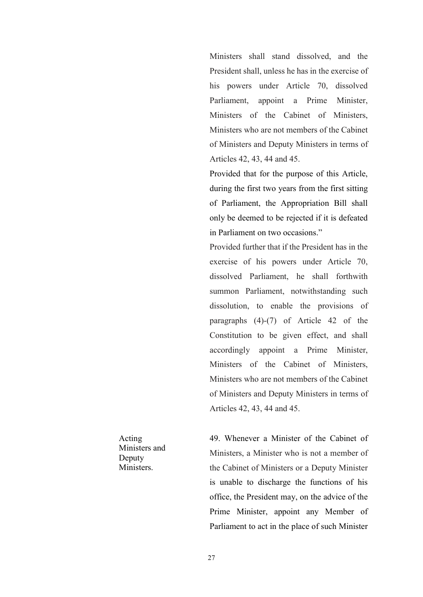Ministers shall stand dissolved, and the President shall, unless he has in the exercise of his powers under Article 70, dissolved Parliament, appoint a Prime Minister, Ministers of the Cabinet of Ministers, Ministers who are not members of the Cabinet of Ministers and Deputy Ministers in terms of Articles 42, 43, 44 and 45.

Provided that for the purpose of this Article, during the first two years from the first sitting of Parliament, the Appropriation Bill shall only be deemed to be rejected if it is defeated in Parliament on two occasions."

Provided further that if the President has in the exercise of his powers under Article 70, dissolved Parliament, he shall forthwith summon Parliament, notwithstanding such dissolution, to enable the provisions of paragraphs (4)-(7) of Article 42 of the Constitution to be given effect, and shall accordingly appoint a Prime Minister, Ministers of the Cabinet of Ministers, Ministers who are not members of the Cabinet of Ministers and Deputy Ministers in terms of Articles 42, 43, 44 and 45.

Acting Ministers and Deputy Ministers.

49. Whenever a Minister of the Cabinet of Ministers, a Minister who is not a member of the Cabinet of Ministers or a Deputy Minister is unable to discharge the functions of his office, the President may, on the advice of the Prime Minister, appoint any Member of Parliament to act in the place of such Minister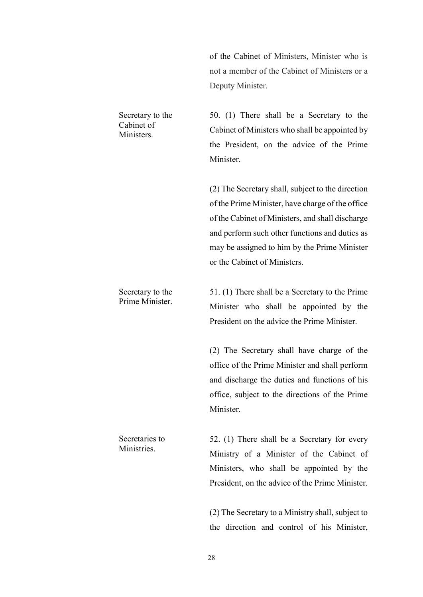of the Cabinet of Ministers, Minister who is not a member of the Cabinet of Ministers or a Deputy Minister.

50. (1) There shall be a Secretary to the Cabinet of Ministers who shall be appointed by the President, on the advice of the Prime Minister.

(2) The Secretary shall, subject to the direction of the Prime Minister, have charge of the office of the Cabinet of Ministers, and shall discharge and perform such other functions and duties as may be assigned to him by the Prime Minister or the Cabinet of Ministers.

Secretary to the Prime Minister. 51. (1) There shall be a Secretary to the Prime Minister who shall be appointed by the President on the advice the Prime Minister.

> (2) The Secretary shall have charge of the office of the Prime Minister and shall perform and discharge the duties and functions of his office, subject to the directions of the Prime Minister.

52. (1) There shall be a Secretary for every Ministry of a Minister of the Cabinet of Ministers, who shall be appointed by the President, on the advice of the Prime Minister.

(2) The Secretary to a Ministry shall, subject to the direction and control of his Minister,

Secretary to the Cabinet of Ministers.

Secretaries to **Ministries**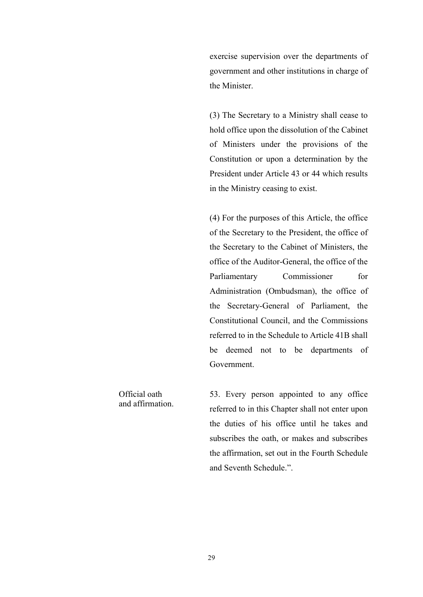exercise supervision over the departments of government and other institutions in charge of the Minister.

(3) The Secretary to a Ministry shall cease to hold office upon the dissolution of the Cabinet of Ministers under the provisions of the Constitution or upon a determination by the President under Article 43 or 44 which results in the Ministry ceasing to exist.

(4) For the purposes of this Article, the office of the Secretary to the President, the office of the Secretary to the Cabinet of Ministers, the office of the Auditor-General, the office of the Parliamentary Commissioner for Administration (Ombudsman), the office of the Secretary-General of Parliament, the Constitutional Council, and the Commissions referred to in the Schedule to Article 41B shall be deemed not to be departments of Government.

53. Every person appointed to any office referred to in this Chapter shall not enter upon the duties of his office until he takes and subscribes the oath, or makes and subscribes the affirmation, set out in the Fourth Schedule and Seventh Schedule.".

Official oath and affirmation.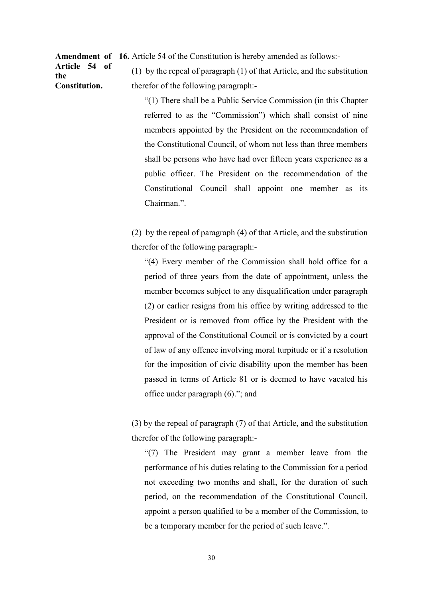Amendment of 16. Article 54 of the Constitution is hereby amended as follows:-

Article 54 of the Constitution.

(1) by the repeal of paragraph (1) of that Article, and the substitution therefor of the following paragraph:-

"(1) There shall be a Public Service Commission (in this Chapter referred to as the "Commission") which shall consist of nine members appointed by the President on the recommendation of the Constitutional Council, of whom not less than three members shall be persons who have had over fifteen years experience as a public officer. The President on the recommendation of the Constitutional Council shall appoint one member as its Chairman.".

(2) by the repeal of paragraph (4) of that Article, and the substitution therefor of the following paragraph:-

"(4) Every member of the Commission shall hold office for a period of three years from the date of appointment, unless the member becomes subject to any disqualification under paragraph (2) or earlier resigns from his office by writing addressed to the President or is removed from office by the President with the approval of the Constitutional Council or is convicted by a court of law of any offence involving moral turpitude or if a resolution for the imposition of civic disability upon the member has been passed in terms of Article 81 or is deemed to have vacated his office under paragraph (6)."; and

(3) by the repeal of paragraph (7) of that Article, and the substitution therefor of the following paragraph:-

"(7) The President may grant a member leave from the performance of his duties relating to the Commission for a period not exceeding two months and shall, for the duration of such period, on the recommendation of the Constitutional Council, appoint a person qualified to be a member of the Commission, to be a temporary member for the period of such leave.".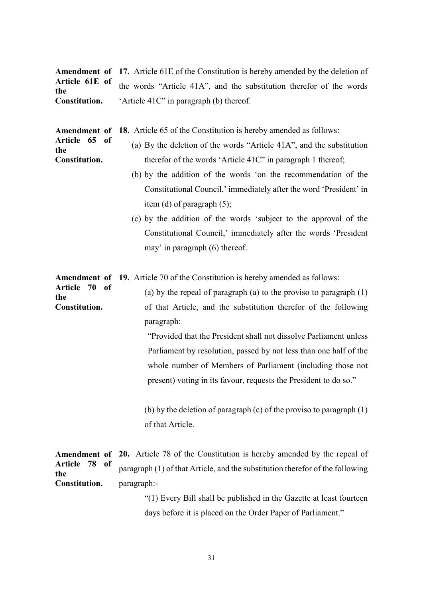|                      | <b>Amendment of 17.</b> Article 61E of the Constitution is hereby amended by the deletion of |
|----------------------|----------------------------------------------------------------------------------------------|
| the                  | Article 61E of the words "Article 41A", and the substitution therefor of the words           |
| <b>Constitution.</b> | 'Article 41C" in paragraph (b) thereof.                                                      |

Amendment of 18. Article 65 of the Constitution is hereby amended as follows:

the

the

- Article 65 of Constitution. (a) By the deletion of the words "Article 41A", and the substitution therefor of the words 'Article 41C" in paragraph 1 thereof;
	- (b) by the addition of the words 'on the recommendation of the Constitutional Council,' immediately after the word 'President' in item (d) of paragraph (5);
	- (c) by the addition of the words 'subject to the approval of the Constitutional Council,' immediately after the words 'President may' in paragraph (6) thereof.

Amendment of 19. Article 70 of the Constitution is hereby amended as follows:

Article 70 of Constitution. (a) by the repeal of paragraph (a) to the proviso to paragraph (1) of that Article, and the substitution therefor of the following paragraph:

> "Provided that the President shall not dissolve Parliament unless Parliament by resolution, passed by not less than one half of the whole number of Members of Parliament (including those not present) voting in its favour, requests the President to do so."

(b) by the deletion of paragraph (c) of the proviso to paragraph (1) of that Article.

|                      | <b>Amendment of 20.</b> Article 78 of the Constitution is hereby amended by the repeal of |
|----------------------|-------------------------------------------------------------------------------------------|
| Article 78 of<br>the | paragraph (1) of that Article, and the substitution therefor of the following             |
| <b>Constitution.</b> | -paragraph:                                                                               |

"(1) Every Bill shall be published in the Gazette at least fourteen days before it is placed on the Order Paper of Parliament."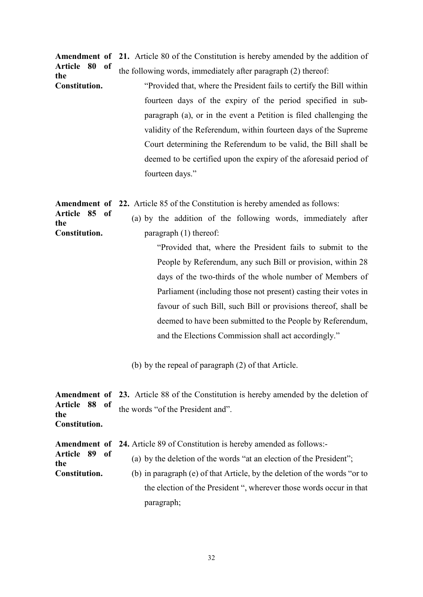Amendment of 21. Article 80 of the Constitution is hereby amended by the addition of Article 80 of the the following words, immediately after paragraph (2) thereof:

Constitution. "Provided that, where the President fails to certify the Bill within fourteen days of the expiry of the period specified in subparagraph (a), or in the event a Petition is filed challenging the validity of the Referendum, within fourteen days of the Supreme Court determining the Referendum to be valid, the Bill shall be deemed to be certified upon the expiry of the aforesaid period of fourteen days."

Amendment of 22. Article 85 of the Constitution is hereby amended as follows:

Article 85 of Constitution. (a) by the addition of the following words, immediately after paragraph (1) thereof:

the

"Provided that, where the President fails to submit to the People by Referendum, any such Bill or provision, within 28 days of the two-thirds of the whole number of Members of Parliament (including those not present) casting their votes in favour of such Bill, such Bill or provisions thereof, shall be deemed to have been submitted to the People by Referendum, and the Elections Commission shall act accordingly."

(b) by the repeal of paragraph (2) of that Article.

Amendment of Article 88 of the Constitution. 23. Article 88 of the Constitution is hereby amended by the deletion of the words "of the President and".

Amendment of Article 89 of 24. Article 89 of Constitution is hereby amended as follows:-

the (a) by the deletion of the words "at an election of the President";

Constitution. (b) in paragraph (e) of that Article, by the deletion of the words "or to the election of the President ", wherever those words occur in that paragraph;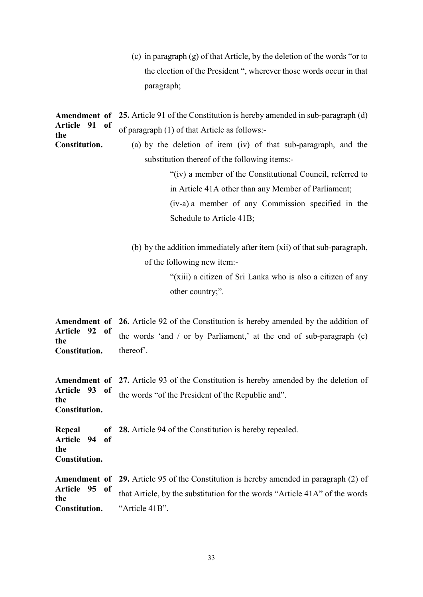(c) in paragraph (g) of that Article, by the deletion of the words "or to the election of the President ", wherever those words occur in that paragraph;

|                                                           | <b>Amendment of 25.</b> Article 91 of the Constitution is hereby amended in sub-paragraph (d) |  |  |  |
|-----------------------------------------------------------|-----------------------------------------------------------------------------------------------|--|--|--|
| Article 91 of<br>the                                      | of paragraph (1) of that Article as follows:-                                                 |  |  |  |
| Constitution.                                             | (a) by the deletion of item (iv) of that sub-paragraph, and the                               |  |  |  |
|                                                           | substitution thereof of the following items:-                                                 |  |  |  |
| "(iv) a member of the Constitutional Council, referred to |                                                                                               |  |  |  |
|                                                           | in Article 41A other than any Member of Parliament;                                           |  |  |  |

(iv-a) a member of any Commission specified in the Schedule to Article 41B;

(b) by the addition immediately after item (xii) of that sub-paragraph, of the following new item:-

> "(xiii) a citizen of Sri Lanka who is also a citizen of any other country;".

Amendment of 26. Article 92 of the Constitution is hereby amended by the addition of Article 92 of the Constitution. the words 'and  $\ell$  or by Parliament,' at the end of sub-paragraph  $(c)$ thereof'.

Amendment of Article 93 of the Constitution. 27. Article 93 of the Constitution is hereby amended by the deletion of the words "of the President of the Republic and".

Repeal of Article 94 of the Constitution. 28. Article 94 of the Constitution is hereby repealed.

Amendment of 29. Article 95 of the Constitution is hereby amended in paragraph (2) of Article 95 of the Constitution. that Article, by the substitution for the words "Article 41A" of the words "Article 41B".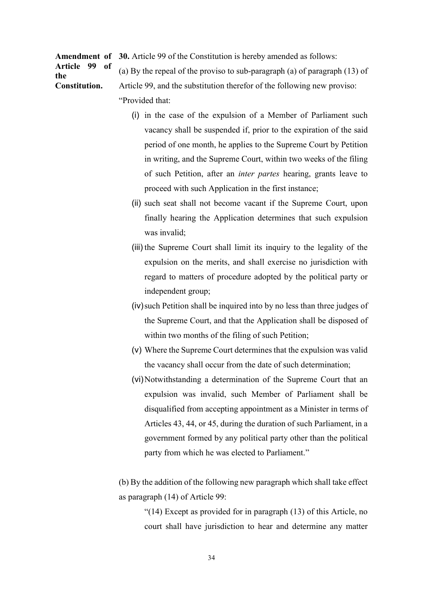Amendment of 30. Article 99 of the Constitution is hereby amended as follows:

Article 99 of the Constitution.

(a) By the repeal of the proviso to sub-paragraph (a) of paragraph (13) of Article 99, and the substitution therefor of the following new proviso:

"Provided that:

- (i) in the case of the expulsion of a Member of Parliament such vacancy shall be suspended if, prior to the expiration of the said period of one month, he applies to the Supreme Court by Petition in writing, and the Supreme Court, within two weeks of the filing of such Petition, after an inter partes hearing, grants leave to proceed with such Application in the first instance;
- (ii) such seat shall not become vacant if the Supreme Court, upon finally hearing the Application determines that such expulsion was invalid;
- (iii) the Supreme Court shall limit its inquiry to the legality of the expulsion on the merits, and shall exercise no jurisdiction with regard to matters of procedure adopted by the political party or independent group;
- (iv) such Petition shall be inquired into by no less than three judges of the Supreme Court, and that the Application shall be disposed of within two months of the filing of such Petition;
- (v) Where the Supreme Court determines that the expulsion was valid the vacancy shall occur from the date of such determination;
- (vi) Notwithstanding a determination of the Supreme Court that an expulsion was invalid, such Member of Parliament shall be disqualified from accepting appointment as a Minister in terms of Articles 43, 44, or 45, during the duration of such Parliament, in a government formed by any political party other than the political party from which he was elected to Parliament."

(b) By the addition of the following new paragraph which shall take effect as paragraph (14) of Article 99:

"(14) Except as provided for in paragraph (13) of this Article, no court shall have jurisdiction to hear and determine any matter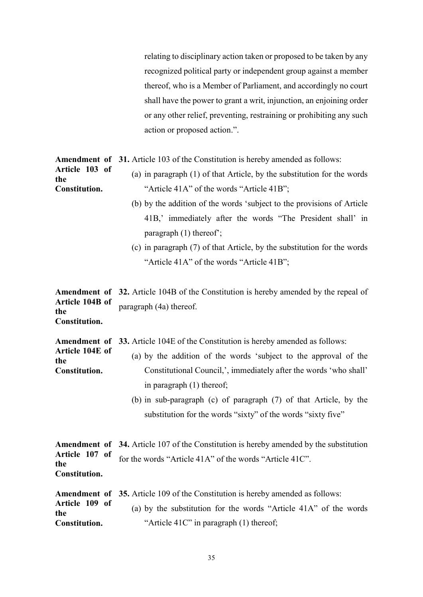relating to disciplinary action taken or proposed to be taken by any recognized political party or independent group against a member thereof, who is a Member of Parliament, and accordingly no court shall have the power to grant a writ, injunction, an enjoining order or any other relief, preventing, restraining or prohibiting any such action or proposed action.".

Amendment of 31. Article 103 of the Constitution is hereby amended as follows:

Article 103 of the Constitution.

- (a) in paragraph (1) of that Article, by the substitution for the words "Article 41A" of the words "Article 41B";
- (b) by the addition of the words 'subject to the provisions of Article 41B,' immediately after the words "The President shall' in paragraph (1) thereof';
- (c) in paragraph (7) of that Article, by the substitution for the words "Article 41A" of the words "Article 41B";

Amendment of 32. Article 104B of the Constitution is hereby amended by the repeal of Article 104B of the Constitution. paragraph (4a) thereof.

Amendment of 33. Article 104E of the Constitution is hereby amended as follows:

- Article 104E of the Constitution. (a) by the addition of the words 'subject to the approval of the Constitutional Council,', immediately after the words 'who shall' in paragraph (1) thereof;
	- (b) in sub-paragraph (c) of paragraph (7) of that Article, by the substitution for the words "sixty" of the words "sixty five"

| <b>Amendment of 34.</b> Article 107 of the Constitution is hereby amended by the substitution |
|-----------------------------------------------------------------------------------------------|
| Article 107 of for the words "Article 41A" of the words "Article 41C".                        |
|                                                                                               |
|                                                                                               |

|                       | <b>Amendment of 35.</b> Article 109 of the Constitution is hereby amended as follows: |
|-----------------------|---------------------------------------------------------------------------------------|
| Article 109 of<br>the | (a) by the substitution for the words "Article 41A" of the words                      |
| Constitution.         | "Article $41C$ " in paragraph $(1)$ thereof;                                          |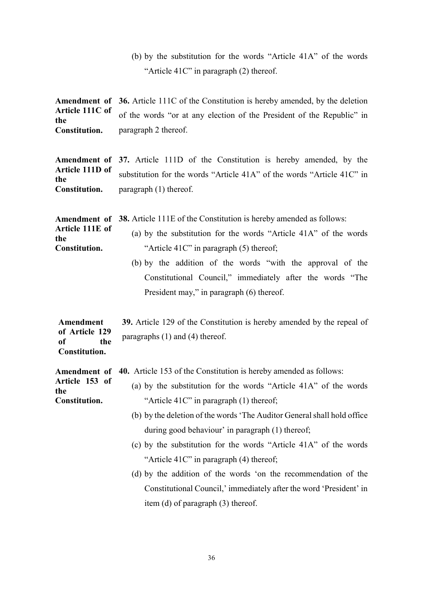(b) by the substitution for the words "Article 41A" of the words "Article 41C" in paragraph (2) thereof.

Amendment of Article 111C of the Constitution. 36. Article 111C of the Constitution is hereby amended, by the deletion of the words "or at any election of the President of the Republic" in paragraph 2 thereof.

Amendment of Article 111D of the Constitution. 37. Article 111D of the Constitution is hereby amended, by the substitution for the words "Article 41A" of the words "Article 41C" in paragraph (1) thereof.

Amendment of 38. Article 111E of the Constitution is hereby amended as follows: Article 111E of the Constitution. (a) by the substitution for the words "Article 41A" of the words "Article 41C" in paragraph (5) thereof; (b) by the addition of the words "with the approval of the

Constitutional Council," immediately after the words "The President may," in paragraph (6) thereof.

Amendment of Article 129 of the 39. Article 129 of the Constitution is hereby amended by the repeal of paragraphs (1) and (4) thereof.

Amendment of 40. Article 153 of the Constitution is hereby amended as follows:

Constitution.

| Article 153 of<br>the | (a) by the substitution for the words "Article $41A$ " of the words |
|-----------------------|---------------------------------------------------------------------|
| Constitution.         | "Article $41C$ " in paragraph $(1)$ thereof;                        |

- (b) by the deletion of the words 'The Auditor General shall hold office during good behaviour' in paragraph (1) thereof;
- (c) by the substitution for the words "Article 41A" of the words "Article 41C" in paragraph (4) thereof;
- (d) by the addition of the words 'on the recommendation of the Constitutional Council,' immediately after the word 'President' in item (d) of paragraph (3) thereof.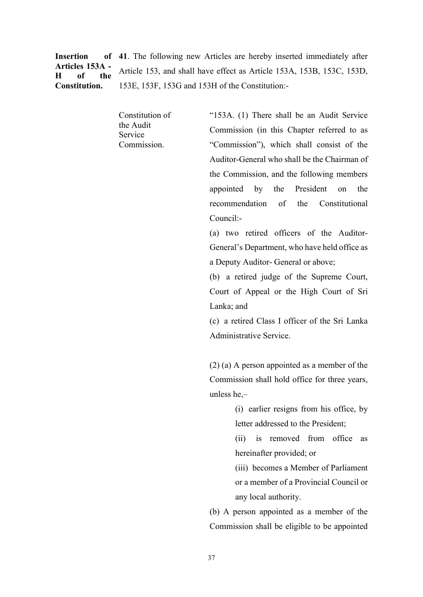Insertion of Articles 153A - H of the Constitution.

41. The following new Articles are hereby inserted immediately after Article 153, and shall have effect as Article 153A, 153B, 153C, 153D, 153E, 153F, 153G and 153H of the Constitution:-

Constitution of the Audit Service Commission.

"153A. (1) There shall be an Audit Service Commission (in this Chapter referred to as "Commission"), which shall consist of the Auditor-General who shall be the Chairman of the Commission, and the following members appointed by the President on the recommendation of the Constitutional Council:-

(a) two retired officers of the Auditor-General's Department, who have held office as a Deputy Auditor- General or above;

(b) a retired judge of the Supreme Court, Court of Appeal or the High Court of Sri Lanka; and

(c) a retired Class I officer of the Sri Lanka Administrative Service.

(2) (a) A person appointed as a member of the Commission shall hold office for three years, unless he,–

> (i) earlier resigns from his office, by letter addressed to the President;

> (ii) is removed from office as hereinafter provided; or

> (iii) becomes a Member of Parliament or a member of a Provincial Council or any local authority.

(b) A person appointed as a member of the Commission shall be eligible to be appointed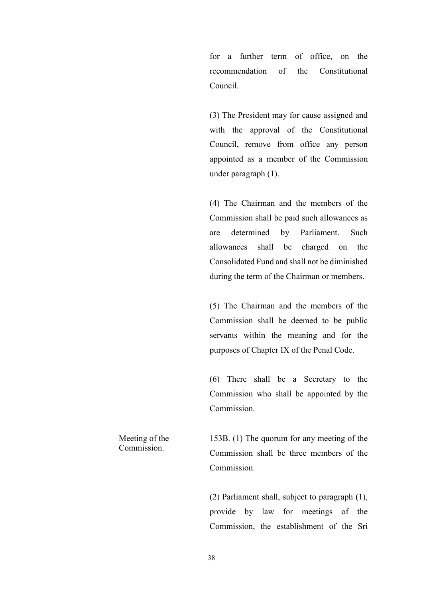for a further term of office, on the recommendation of the Constitutional Council.

(3) The President may for cause assigned and with the approval of the Constitutional Council, remove from office any person appointed as a member of the Commission under paragraph (1).

(4) The Chairman and the members of the Commission shall be paid such allowances as are determined by Parliament. Such allowances shall be charged on the Consolidated Fund and shall not be diminished during the term of the Chairman or members.

(5) The Chairman and the members of the Commission shall be deemed to be public servants within the meaning and for the purposes of Chapter IX of the Penal Code.

(6) There shall be a Secretary to the Commission who shall be appointed by the Commission.

Meeting of the Commission.

153B. (1) The quorum for any meeting of the Commission shall be three members of the Commission.

(2) Parliament shall, subject to paragraph (1), provide by law for meetings of the Commission, the establishment of the Sri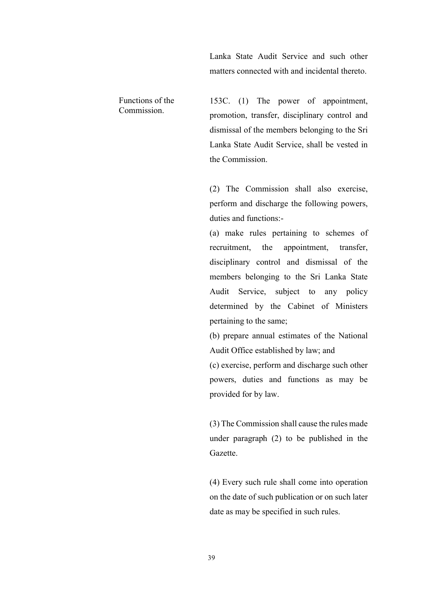Lanka State Audit Service and such other matters connected with and incidental thereto.

Functions of the Commission. 153C. (1) The power of appointment, promotion, transfer, disciplinary control and dismissal of the members belonging to the Sri Lanka State Audit Service, shall be vested in

the Commission.

(2) The Commission shall also exercise, perform and discharge the following powers, duties and functions:-

(a) make rules pertaining to schemes of recruitment, the appointment, transfer, disciplinary control and dismissal of the members belonging to the Sri Lanka State Audit Service, subject to any policy determined by the Cabinet of Ministers pertaining to the same;

(b) prepare annual estimates of the National Audit Office established by law; and

(c) exercise, perform and discharge such other powers, duties and functions as may be provided for by law.

(3) The Commission shall cause the rules made under paragraph (2) to be published in the Gazette.

(4) Every such rule shall come into operation on the date of such publication or on such later date as may be specified in such rules.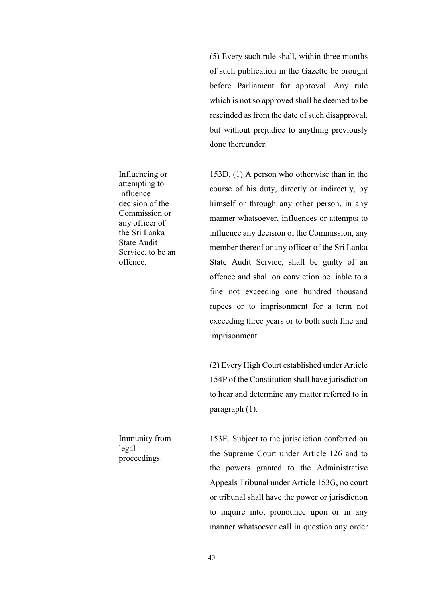(5) Every such rule shall, within three months of such publication in the Gazette be brought before Parliament for approval. Any rule which is not so approved shall be deemed to be rescinded as from the date of such disapproval, but without prejudice to anything previously done thereunder.

153D. (1) A person who otherwise than in the course of his duty, directly or indirectly, by himself or through any other person, in any manner whatsoever, influences or attempts to influence any decision of the Commission, any member thereof or any officer of the Sri Lanka State Audit Service, shall be guilty of an offence and shall on conviction be liable to a fine not exceeding one hundred thousand rupees or to imprisonment for a term not exceeding three years or to both such fine and imprisonment.

(2) Every High Court established under Article 154P of the Constitution shall have jurisdiction to hear and determine any matter referred to in paragraph (1).

153E. Subject to the jurisdiction conferred on the Supreme Court under Article 126 and to the powers granted to the Administrative Appeals Tribunal under Article 153G, no court or tribunal shall have the power or jurisdiction to inquire into, pronounce upon or in any manner whatsoever call in question any order

Influencing or attempting to influence decision of the Commission or any officer of the Sri Lanka State Audit Service, to be an offence.

Immunity from legal proceedings.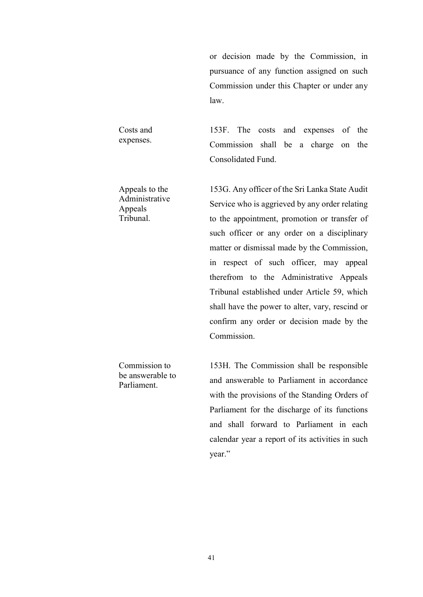or decision made by the Commission, in pursuance of any function assigned on such Commission under this Chapter or under any law.

153F. The costs and expenses of the

Commission shall be a charge on the

153G. Any officer of the Sri Lanka State Audit

Service who is aggrieved by any order relating

to the appointment, promotion or transfer of

such officer or any order on a disciplinary

Consolidated Fund.

Costs and expenses.

Appeals to the Administrative Appeals Tribunal.

> matter or dismissal made by the Commission, in respect of such officer, may appeal therefrom to the Administrative Appeals Tribunal established under Article 59, which shall have the power to alter, vary, rescind or confirm any order or decision made by the Commission.

Commission to be answerable to Parliament.

153H. The Commission shall be responsible and answerable to Parliament in accordance with the provisions of the Standing Orders of Parliament for the discharge of its functions and shall forward to Parliament in each calendar year a report of its activities in such year."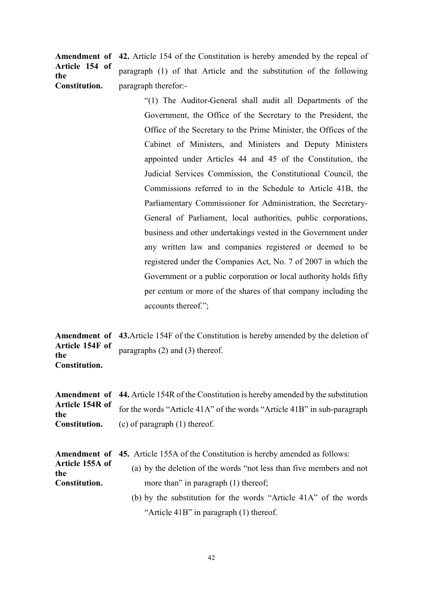Amendment of 42. Article 154 of the Constitution is hereby amended by the repeal of Article 154 of the Constitution. paragraph (1) of that Article and the substitution of the following paragraph therefor:-

> "(1) The Auditor-General shall audit all Departments of the Government, the Office of the Secretary to the President, the Office of the Secretary to the Prime Minister, the Offices of the Cabinet of Ministers, and Ministers and Deputy Ministers appointed under Articles 44 and 45 of the Constitution, the Judicial Services Commission, the Constitutional Council, the Commissions referred to in the Schedule to Article 41B, the Parliamentary Commissioner for Administration, the Secretary-General of Parliament, local authorities, public corporations, business and other undertakings vested in the Government under any written law and companies registered or deemed to be registered under the Companies Act, No. 7 of 2007 in which the Government or a public corporation or local authority holds fifty per centum or more of the shares of that company including the accounts thereof.";

Amendment of 43. Article 154F of the Constitution is hereby amended by the deletion of Article 154F of the Constitution. paragraphs (2) and (3) thereof.

Amendment of 44. Article 154R of the Constitution is hereby amended by the substitution Article 154R of the Constitution. for the words "Article 41A" of the words "Article 41B" in sub-paragraph (c) of paragraph (1) thereof.

|                        | <b>Amendment of 45.</b> Article 155A of the Constitution is hereby amended as follows:<br>(a) by the deletion of the words "not less than five members and not |  |  |
|------------------------|----------------------------------------------------------------------------------------------------------------------------------------------------------------|--|--|
| Article 155A of<br>the |                                                                                                                                                                |  |  |
| Constitution.          | more than" in paragraph $(1)$ thereof;                                                                                                                         |  |  |
|                        | (b) by the substitution for the words "Article 41A" of the words                                                                                               |  |  |

"Article 41B" in paragraph (1) thereof.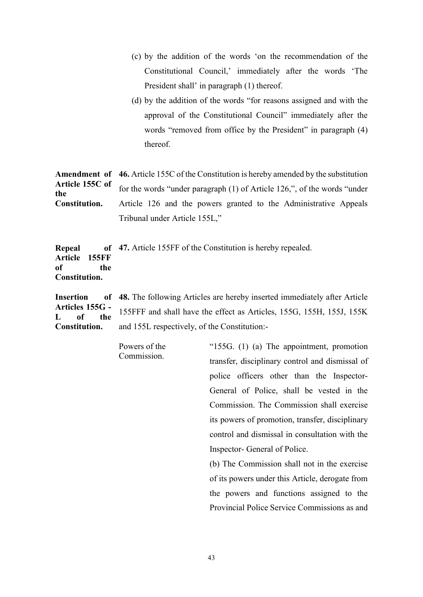|                                                                                          |                                                                          | (c) by the addition of the words 'on the recommendation of the                               |  |
|------------------------------------------------------------------------------------------|--------------------------------------------------------------------------|----------------------------------------------------------------------------------------------|--|
|                                                                                          |                                                                          | Constitutional Council,' immediately after the words 'The                                    |  |
|                                                                                          |                                                                          | President shall' in paragraph (1) thereof.                                                   |  |
|                                                                                          |                                                                          | (d) by the addition of the words "for reasons assigned and with the                          |  |
|                                                                                          |                                                                          | approval of the Constitutional Council" immediately after the                                |  |
|                                                                                          |                                                                          | words "removed from office by the President" in paragraph (4)                                |  |
|                                                                                          | thereof.                                                                 |                                                                                              |  |
| Amendment of                                                                             |                                                                          | 46. Article 155C of the Constitution is hereby amended by the substitution                   |  |
| Article 155C of<br>the                                                                   | for the words "under paragraph (1) of Article 126,", of the words "under |                                                                                              |  |
| Constitution.                                                                            | Article 126 and the powers granted to the Administrative Appeals         |                                                                                              |  |
|                                                                                          | Tribunal under Article 155L,"                                            |                                                                                              |  |
| Repeal<br>Article<br><b>155FF</b><br><sub>of</sub><br>the<br>Constitution.               |                                                                          | of 47. Article 155FF of the Constitution is hereby repealed.                                 |  |
| <sub>of</sub><br><b>Insertion</b><br>Articles 155G -<br>the<br>оf<br>Ι.<br>Constitution. |                                                                          | <b>48.</b> The following Articles are hereby inserted immediately after Article              |  |
|                                                                                          |                                                                          | 155FFF and shall have the effect as Articles, 155G, 155H, 155J, 155K                         |  |
|                                                                                          | and 155L respectively, of the Constitution:-                             |                                                                                              |  |
|                                                                                          | Powers of the<br>Commission.                                             | "155G. (1) (a) The appointment, promotion<br>transfer, disciplinary control and dismissal of |  |
|                                                                                          |                                                                          | police officers other than the Inspector-                                                    |  |
|                                                                                          |                                                                          | General of Police, shall be vested in the                                                    |  |
|                                                                                          |                                                                          | Commission. The Commission shall exercise                                                    |  |
|                                                                                          |                                                                          | its powers of promotion, transfer, disciplinary                                              |  |

control and dismissal in consultation with the Inspector- General of Police.

(b) The Commission shall not in the exercise of its powers under this Article, derogate from the powers and functions assigned to the Provincial Police Service Commissions as and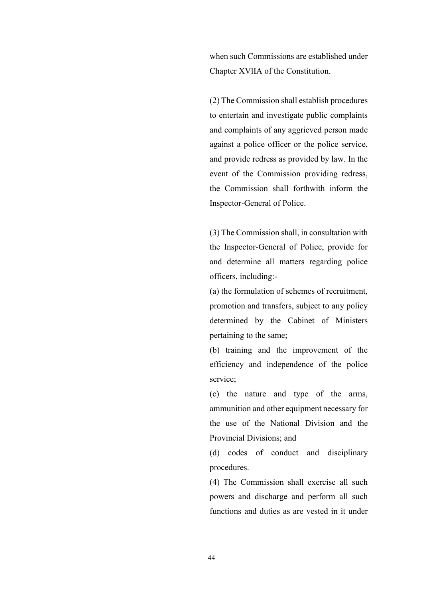when such Commissions are established under Chapter XVlIA of the Constitution.

(2) The Commission shall establish procedures to entertain and investigate public complaints and complaints of any aggrieved person made against a police officer or the police service, and provide redress as provided by law. In the event of the Commission providing redress, the Commission shall forthwith inform the Inspector-General of Police.

(3) The Commission shall, in consultation with the Inspector-General of Police, provide for and determine all matters regarding police officers, including:-

(a) the formulation of schemes of recruitment, promotion and transfers, subject to any policy determined by the Cabinet of Ministers pertaining to the same;

(b) training and the improvement of the efficiency and independence of the police service;

(c) the nature and type of the arms, ammunition and other equipment necessary for the use of the National Division and the Provincial Divisions; and

(d) codes of conduct and disciplinary procedures.

(4) The Commission shall exercise all such powers and discharge and perform all such functions and duties as are vested in it under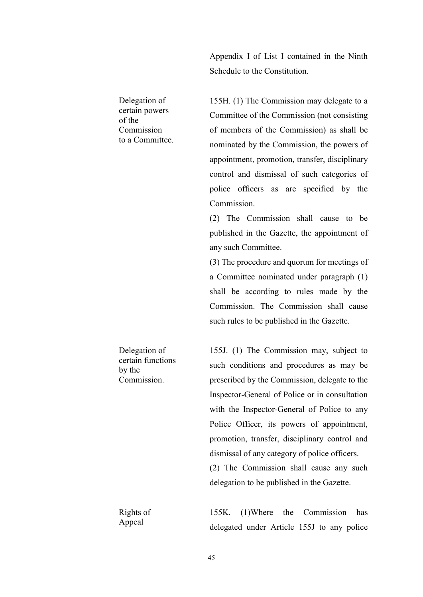Appendix I of List I contained in the Ninth Schedule to the Constitution.

155H. (1) The Commission may delegate to a

Committee of the Commission (not consisting

of members of the Commission) as shall be

nominated by the Commission, the powers of

appointment, promotion, transfer, disciplinary

control and dismissal of such categories of

police officers as are specified by the

Commission.

Delegation of certain powers of the Commission to a Committee.

> (2) The Commission shall cause to be published in the Gazette, the appointment of any such Committee.

> (3) The procedure and quorum for meetings of a Committee nominated under paragraph (1) shall be according to rules made by the Commission. The Commission shall cause such rules to be published in the Gazette.

155J. (1) The Commission may, subject to such conditions and procedures as may be prescribed by the Commission, delegate to the Inspector-General of Police or in consultation with the Inspector-General of Police to any Police Officer, its powers of appointment, promotion, transfer, disciplinary control and dismissal of any category of police officers. (2) The Commission shall cause any such delegation to be published in the Gazette.

155K. (1)Where the Commission has delegated under Article 155J to any police

by the Commission.

Delegation of certain functions

Rights of Appeal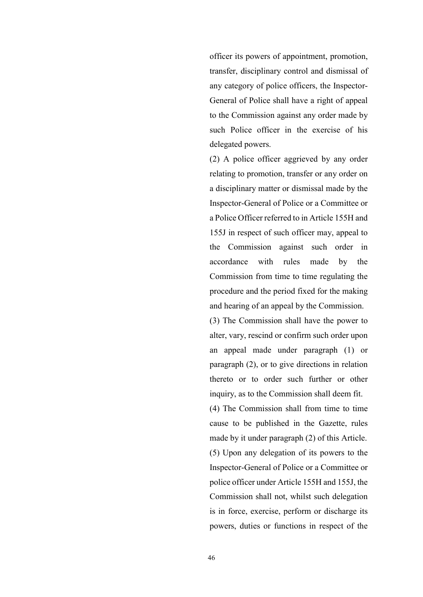officer its powers of appointment, promotion, transfer, disciplinary control and dismissal of any category of police officers, the Inspector-General of Police shall have a right of appeal to the Commission against any order made by such Police officer in the exercise of his delegated powers.

(2) A police officer aggrieved by any order relating to promotion, transfer or any order on a disciplinary matter or dismissal made by the Inspector-General of Police or a Committee or a Police Officer referred to in Article 155H and 155J in respect of such officer may, appeal to the Commission against such order in accordance with rules made by the Commission from time to time regulating the procedure and the period fixed for the making and hearing of an appeal by the Commission.

(3) The Commission shall have the power to alter, vary, rescind or confirm such order upon an appeal made under paragraph (1) or paragraph (2), or to give directions in relation thereto or to order such further or other inquiry, as to the Commission shall deem fit.

(4) The Commission shall from time to time cause to be published in the Gazette, rules made by it under paragraph (2) of this Article. (5) Upon any delegation of its powers to the Inspector-General of Police or a Committee or police officer under Article 155H and 155J, the Commission shall not, whilst such delegation is in force, exercise, perform or discharge its powers, duties or functions in respect of the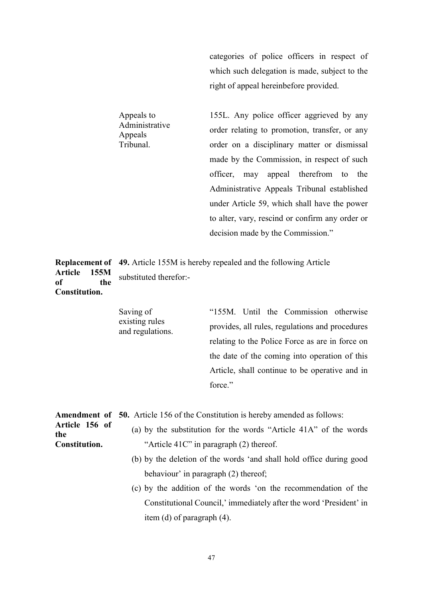categories of police officers in respect of which such delegation is made, subject to the right of appeal hereinbefore provided.

155L. Any police officer aggrieved by any order relating to promotion, transfer, or any order on a disciplinary matter or dismissal made by the Commission, in respect of such officer, may appeal therefrom to the Administrative Appeals Tribunal established under Article 59, which shall have the power to alter, vary, rescind or confirm any order or decision made by the Commission."

Replacement of 49. Article 155M is hereby repealed and the following Article Article 155M of the Constitution. substituted therefor:-

> Saving of existing rules and regulations.

Appeals to Administrative

Appeals Tribunal.

> "155M. Until the Commission otherwise provides, all rules, regulations and procedures relating to the Police Force as are in force on the date of the coming into operation of this Article, shall continue to be operative and in force."

|                       | <b>Amendment of 50.</b> Article 156 of the Constitution is hereby amended as follows: |  |  |  |
|-----------------------|---------------------------------------------------------------------------------------|--|--|--|
| Article 156 of<br>the | (a) by the substitution for the words "Article 41A" of the words                      |  |  |  |
| Constitution.         | "Article $41C$ " in paragraph $(2)$ thereof.                                          |  |  |  |
|                       | (b) by the deletion of the words 'and shall hold office during good                   |  |  |  |
|                       | behaviour' in paragraph (2) thereof;                                                  |  |  |  |
|                       | (c) by the addition of the words 'on the recommendation of the                        |  |  |  |
|                       | Constitutional Council,' immediately after the word 'President' in                    |  |  |  |
|                       | item (d) of paragraph $(4)$ .                                                         |  |  |  |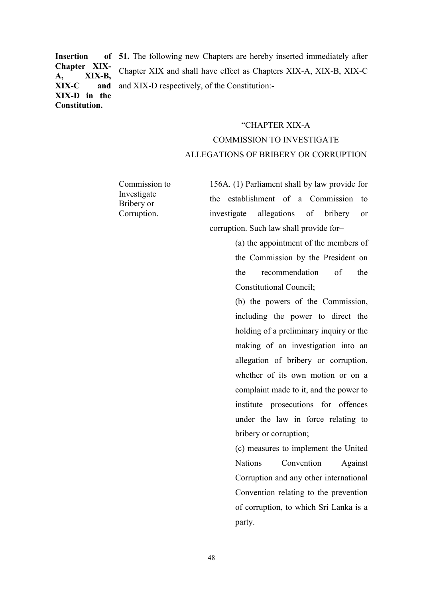**Insertion** Chapter XIX-A, XIX-B, XIX-C and XIX-D in the Constitution. 51. The following new Chapters are hereby inserted immediately after Chapter XIX and shall have effect as Chapters XIX-A, XIX-B, XIX-C and XIX-D respectively, of the Constitution:-

# "CHAPTER XIX-A COMMISSION TO INVESTIGATE ALLEGATIONS OF BRIBERY OR CORRUPTION

Commission to Investigate Bribery or Corruption.

156A. (1) Parliament shall by law provide for the establishment of a Commission to investigate allegations of bribery or corruption. Such law shall provide for–

> (a) the appointment of the members of the Commission by the President on the recommendation of the Constitutional Council;

> (b) the powers of the Commission, including the power to direct the holding of a preliminary inquiry or the making of an investigation into an allegation of bribery or corruption, whether of its own motion or on a complaint made to it, and the power to institute prosecutions for offences under the law in force relating to bribery or corruption;

> (c) measures to implement the United Nations Convention Against Corruption and any other international Convention relating to the prevention of corruption, to which Sri Lanka is a party.

48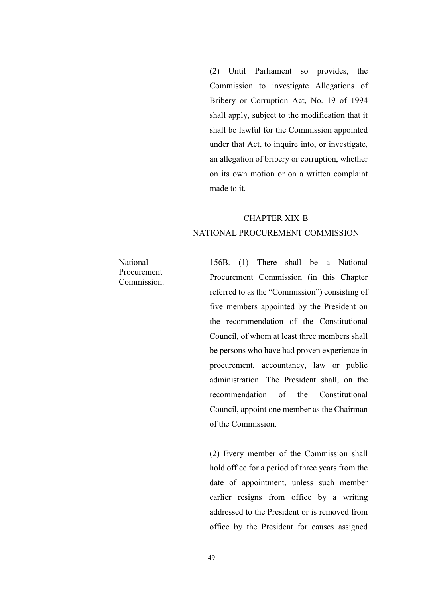(2) Until Parliament so provides, the Commission to investigate Allegations of Bribery or Corruption Act, No. 19 of 1994 shall apply, subject to the modification that it shall be lawful for the Commission appointed under that Act, to inquire into, or investigate, an allegation of bribery or corruption, whether on its own motion or on a written complaint made to it.

## CHAPTER XIX-B NATIONAL PROCUREMENT COMMISSION

National Procurement Commission.

156B. (1) There shall be a National Procurement Commission (in this Chapter referred to as the "Commission") consisting of five members appointed by the President on the recommendation of the Constitutional Council, of whom at least three members shall be persons who have had proven experience in procurement, accountancy, law or public administration. The President shall, on the recommendation of the Constitutional Council, appoint one member as the Chairman of the Commission.

(2) Every member of the Commission shall hold office for a period of three years from the date of appointment, unless such member earlier resigns from office by a writing addressed to the President or is removed from office by the President for causes assigned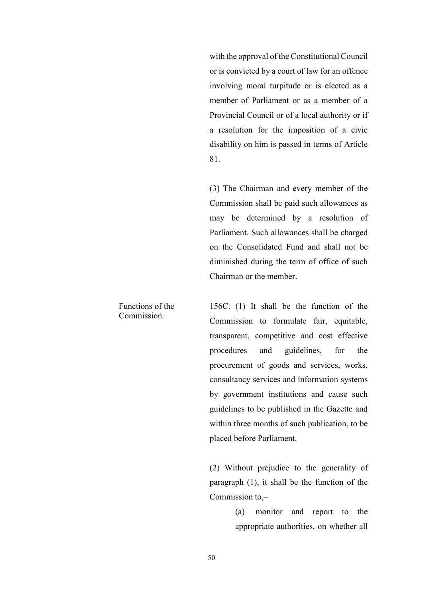with the approval of the Constitutional Council or is convicted by a court of law for an offence involving moral turpitude or is elected as a member of Parliament or as a member of a Provincial Council or of a local authority or if a resolution for the imposition of a civic disability on him is passed in terms of Article 81.

(3) The Chairman and every member of the Commission shall be paid such allowances as may be determined by a resolution of Parliament. Such allowances shall be charged on the Consolidated Fund and shall not be diminished during the term of office of such Chairman or the member.

156C. (1) It shall be the function of the Commission to formulate fair, equitable, transparent, competitive and cost effective procedures and guidelines, for the procurement of goods and services, works, consultancy services and information systems by government institutions and cause such guidelines to be published in the Gazette and within three months of such publication, to be placed before Parliament.

(2) Without prejudice to the generality of paragraph (1), it shall be the function of the Commission to,–

> (a) monitor and report to the appropriate authorities, on whether all

Functions of the Commission.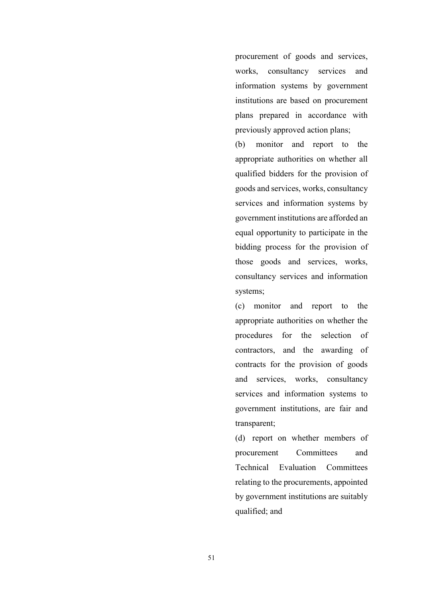procurement of goods and services, works, consultancy services and information systems by government institutions are based on procurement plans prepared in accordance with previously approved action plans;

(b) monitor and report to the appropriate authorities on whether all qualified bidders for the provision of goods and services, works, consultancy services and information systems by government institutions are afforded an equal opportunity to participate in the bidding process for the provision of those goods and services, works, consultancy services and information systems;

(c) monitor and report to the appropriate authorities on whether the procedures for the selection of contractors, and the awarding of contracts for the provision of goods and services, works, consultancy services and information systems to government institutions, are fair and transparent;

(d) report on whether members of procurement Committees and Technical Evaluation Committees relating to the procurements, appointed by government institutions are suitably qualified; and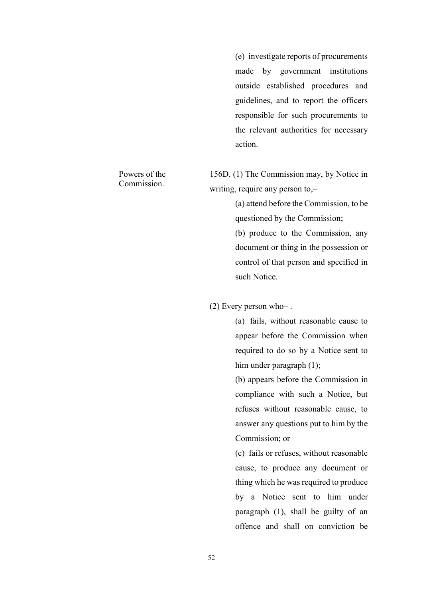(e) investigate reports of procurements made by government institutions outside established procedures and guidelines, and to report the officers responsible for such procurements to the relevant authorities for necessary action.

156D. (1) The Commission may, by Notice in writing, require any person to,–

> (a) attend before the Commission, to be questioned by the Commission;

> (b) produce to the Commission, any document or thing in the possession or control of that person and specified in such Notice.

(2) Every person who– .

(a) fails, without reasonable cause to appear before the Commission when required to do so by a Notice sent to him under paragraph (1);

(b) appears before the Commission in compliance with such a Notice, but refuses without reasonable cause, to answer any questions put to him by the Commission; or

(c) fails or refuses, without reasonable cause, to produce any document or thing which he was required to produce by a Notice sent to him under paragraph (1), shall be guilty of an offence and shall on conviction be

### Powers of the Commission.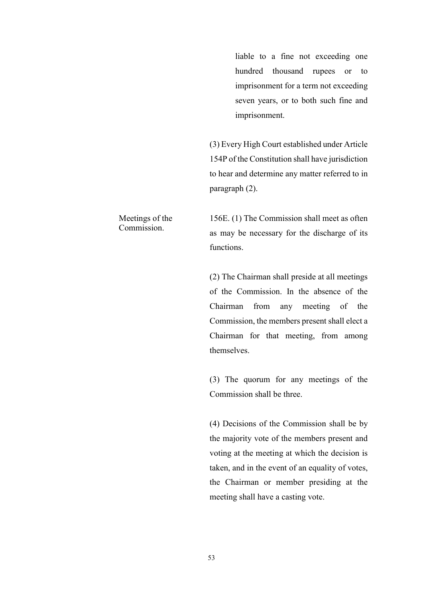liable to a fine not exceeding one hundred thousand rupees or to imprisonment for a term not exceeding seven years, or to both such fine and imprisonment.

(3) Every High Court established under Article 154P of the Constitution shall have jurisdiction to hear and determine any matter referred to in paragraph (2).

156E. (1) The Commission shall meet as often as may be necessary for the discharge of its functions.

(2) The Chairman shall preside at all meetings of the Commission. In the absence of the Chairman from any meeting of the Commission, the members present shall elect a Chairman for that meeting, from among themselves.

(3) The quorum for any meetings of the Commission shall be three.

(4) Decisions of the Commission shall be by the majority vote of the members present and voting at the meeting at which the decision is taken, and in the event of an equality of votes, the Chairman or member presiding at the meeting shall have a casting vote.

Meetings of the Commission.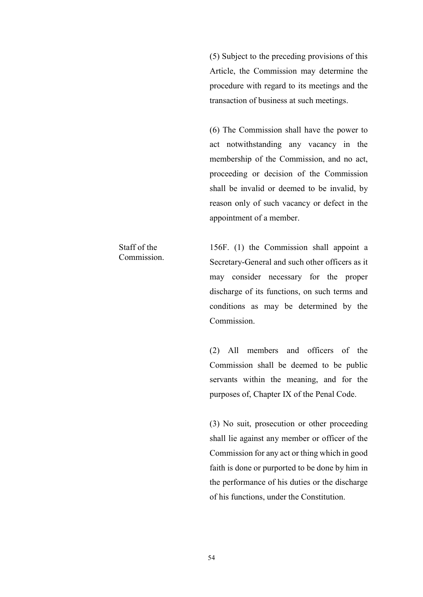(5) Subject to the preceding provisions of this Article, the Commission may determine the procedure with regard to its meetings and the transaction of business at such meetings.

(6) The Commission shall have the power to act notwithstanding any vacancy in the membership of the Commission, and no act, proceeding or decision of the Commission shall be invalid or deemed to be invalid, by reason only of such vacancy or defect in the appointment of a member.

156F. (1) the Commission shall appoint a Secretary-General and such other officers as it may consider necessary for the proper discharge of its functions, on such terms and conditions as may be determined by the Commission.

(2) All members and officers of the Commission shall be deemed to be public servants within the meaning, and for the purposes of, Chapter IX of the Penal Code.

(3) No suit, prosecution or other proceeding shall lie against any member or officer of the Commission for any act or thing which in good faith is done or purported to be done by him in the performance of his duties or the discharge of his functions, under the Constitution.

Staff of the Commission.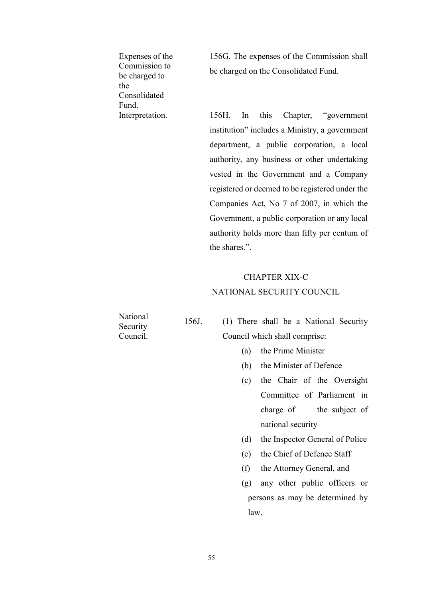Expenses of the Commission to be charged to the Consolidated Fund.

156G. The expenses of the Commission shall be charged on the Consolidated Fund.

Interpretation. 156H. In this Chapter, "government" institution" includes a Ministry, a government department, a public corporation, a local authority, any business or other undertaking vested in the Government and a Company registered or deemed to be registered under the Companies Act, No 7 of 2007, in which the Government, a public corporation or any local authority holds more than fifty per centum of the shares.".

## CHAPTER XIX-C NATIONAL SECURITY COUNCIL

National Security Council.

156J. (1) There shall be a National Security Council which shall comprise:

- (a) the Prime Minister
- (b) the Minister of Defence
- (c) the Chair of the Oversight Committee of Parliament in charge of the subject of national security
- (d) the Inspector General of Police
- (e) the Chief of Defence Staff
- (f) the Attorney General, and
- (g) any other public officers or persons as may be determined by law.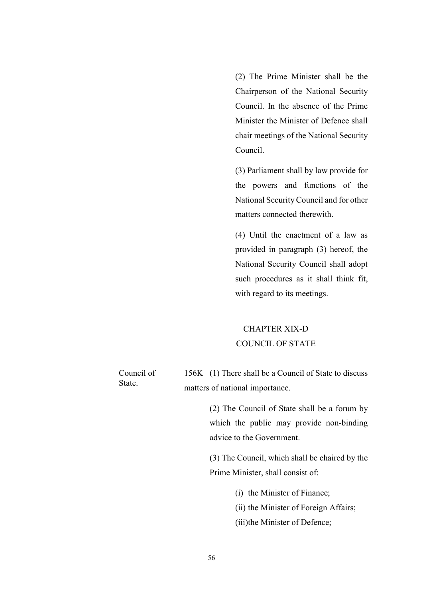(2) The Prime Minister shall be the Chairperson of the National Security Council. In the absence of the Prime Minister the Minister of Defence shall chair meetings of the National Security Council.

(3) Parliament shall by law provide for the powers and functions of the National Security Council and for other matters connected therewith.

(4) Until the enactment of a law as provided in paragraph (3) hereof, the National Security Council shall adopt such procedures as it shall think fit, with regard to its meetings.

## CHAPTER XIX-D COUNCIL OF STATE

| Council of | 156K (1) There shall be a Council of State to discuss |
|------------|-------------------------------------------------------|
| State.     | matters of national importance.                       |

(2) The Council of State shall be a forum by which the public may provide non-binding advice to the Government.

(3) The Council, which shall be chaired by the Prime Minister, shall consist of:

(i) the Minister of Finance;

(ii) the Minister of Foreign Affairs;

(iii)the Minister of Defence;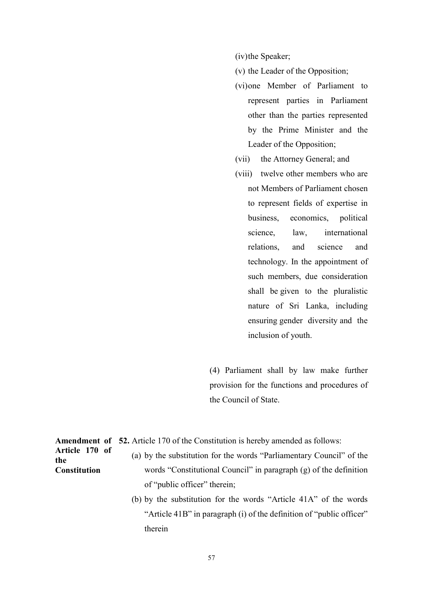(iv)the Speaker;

- (v) the Leader of the Opposition;
- (vi)one Member of Parliament to represent parties in Parliament other than the parties represented by the Prime Minister and the Leader of the Opposition;
- (vii) the Attorney General; and
- (viii) twelve other members who are not Members of Parliament chosen to represent fields of expertise in business, economics, political science, law, international relations, and science and technology. In the appointment of such members, due consideration shall be given to the pluralistic nature of Sri Lanka, including ensuring gender diversity and the inclusion of youth.

(4) Parliament shall by law make further provision for the functions and procedures of the Council of State.

Amendment of 52. Article 170 of the Constitution is hereby amended as follows:

(a) by the substitution for the words "Parliamentary Council" of the words "Constitutional Council" in paragraph (g) of the definition of "public officer" therein;

> (b) by the substitution for the words "Article 41A" of the words "Article 41B" in paragraph (i) of the definition of "public officer" therein

Article 170 of the **Constitution**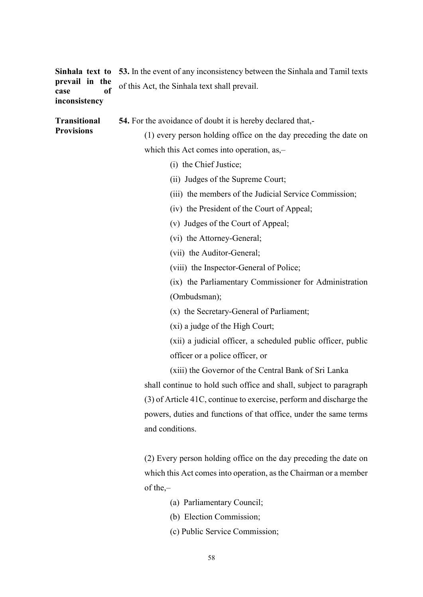|               | Sinhala text to 53. In the event of any inconsistency between the Sinhala and Tamil texts |
|---------------|-------------------------------------------------------------------------------------------|
|               | <b>prevail in the</b> of this Act, the Sinhala text shall prevail.<br><b>case</b>         |
| inconsistency |                                                                                           |

| <b>Transitional</b> | <b>54.</b> For the avoidance of doubt it is hereby declared that. |
|---------------------|-------------------------------------------------------------------|
| <b>Provisions</b>   | (1) every person holding office on the day preceding the date on  |

which this Act comes into operation, as,–

- (i) the Chief Justice;
- (ii) Judges of the Supreme Court;
- (iii) the members of the Judicial Service Commission;
- (iv) the President of the Court of Appeal;
- (v) Judges of the Court of Appeal;
- (vi) the Attorney-General;
- (vii) the Auditor-General;
- (viii) the Inspector-General of Police;

(ix) the Parliamentary Commissioner for Administration (Ombudsman);

- (x) the Secretary-General of Parliament;
- (xi) a judge of the High Court;

(xii) a judicial officer, a scheduled public officer, public officer or a police officer, or

(xiii) the Governor of the Central Bank of Sri Lanka

shall continue to hold such office and shall, subject to paragraph (3) of Article 41C, continue to exercise, perform and discharge the powers, duties and functions of that office, under the same terms and conditions.

(2) Every person holding office on the day preceding the date on which this Act comes into operation, as the Chairman or a member of the,–

- (a) Parliamentary Council;
- (b) Election Commission;
- (c) Public Service Commission;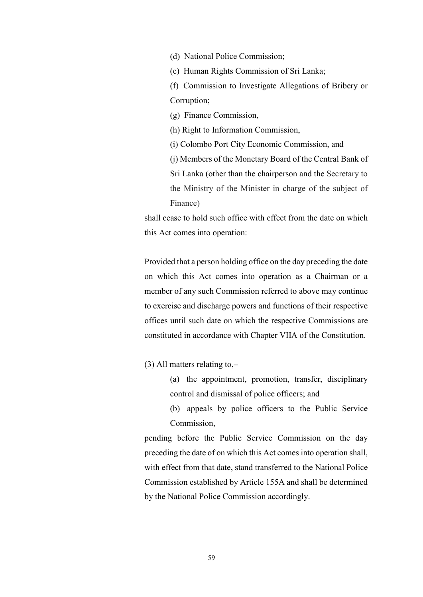- (d) National Police Commission;
- (e) Human Rights Commission of Sri Lanka;
- (f) Commission to Investigate Allegations of Bribery or Corruption;
- (g) Finance Commission,
- (h) Right to Information Commission,
- (i) Colombo Port City Economic Commission, and

(j) Members of the Monetary Board of the Central Bank of Sri Lanka (other than the chairperson and the Secretary to the Ministry of the Minister in charge of the subject of Finance)

shall cease to hold such office with effect from the date on which this Act comes into operation:

Provided that a person holding office on the day preceding the date on which this Act comes into operation as a Chairman or a member of any such Commission referred to above may continue to exercise and discharge powers and functions of their respective offices until such date on which the respective Commissions are constituted in accordance with Chapter VIIA of the Constitution.

(3) All matters relating to,–

- (a) the appointment, promotion, transfer, disciplinary control and dismissal of police officers; and
- (b) appeals by police officers to the Public Service Commission,

pending before the Public Service Commission on the day preceding the date of on which this Act comes into operation shall, with effect from that date, stand transferred to the National Police Commission established by Article 155A and shall be determined by the National Police Commission accordingly.